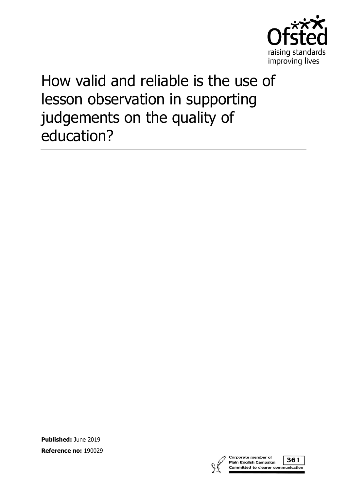

# How valid and reliable is the use of lesson observation in supporting judgements on the quality of education?

**Published:** June 2019

**Reference no:** 190029



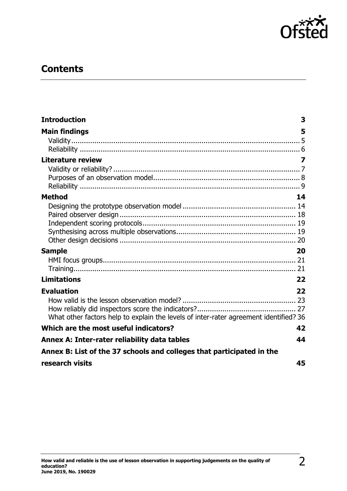

# **Contents**

| <b>Introduction</b>                                                                   | 3  |
|---------------------------------------------------------------------------------------|----|
| <b>Main findings</b>                                                                  | 5  |
|                                                                                       |    |
|                                                                                       |    |
| <b>Literature review</b>                                                              |    |
|                                                                                       |    |
|                                                                                       |    |
|                                                                                       |    |
| <b>Method</b>                                                                         | 14 |
|                                                                                       |    |
|                                                                                       |    |
|                                                                                       |    |
|                                                                                       |    |
|                                                                                       |    |
| <b>Sample</b>                                                                         | 20 |
|                                                                                       |    |
|                                                                                       |    |
| <b>Limitations</b>                                                                    | 22 |
| <b>Evaluation</b>                                                                     | 22 |
|                                                                                       |    |
|                                                                                       |    |
| What other factors help to explain the levels of inter-rater agreement identified? 36 |    |
| Which are the most useful indicators?                                                 | 42 |
| Annex A: Inter-rater reliability data tables                                          | 44 |
| Annex B: List of the 37 schools and colleges that participated in the                 |    |
| research visits                                                                       | 45 |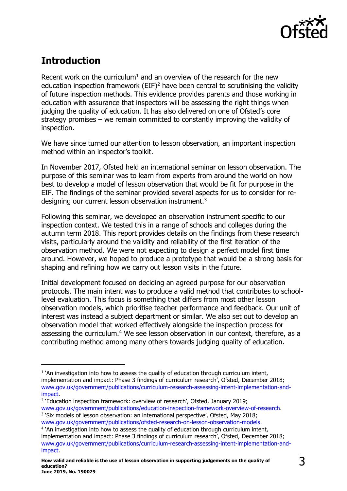

# <span id="page-2-0"></span>**Introduction**

j

Recent work on the curriculum<sup>1</sup> and an overview of the research for the new education inspection framework  $(EIF)^2$  have been central to scrutinising the validity of future inspection methods. This evidence provides parents and those working in education with assurance that inspectors will be assessing the right things when judging the quality of education. It has also delivered on one of Ofsted's core strategy promises – we remain committed to constantly improving the validity of inspection.

We have since turned our attention to lesson observation, an important inspection method within an inspector's toolkit.

In November 2017, Ofsted held an international seminar on lesson observation. The purpose of this seminar was to learn from experts from around the world on how best to develop a model of lesson observation that would be fit for purpose in the EIF. The findings of the seminar provided several aspects for us to consider for redesigning our current lesson observation instrument.<sup>3</sup>

Following this seminar, we developed an observation instrument specific to our inspection context. We tested this in a range of schools and colleges during the autumn term 2018. This report provides details on the findings from these research visits, particularly around the validity and reliability of the first iteration of the observation method. We were not expecting to design a perfect model first time around. However, we hoped to produce a prototype that would be a strong basis for shaping and refining how we carry out lesson visits in the future.

Initial development focused on deciding an agreed purpose for our observation protocols. The main intent was to produce a valid method that contributes to schoollevel evaluation. This focus is something that differs from most other lesson observation models, which prioritise teacher performance and feedback. Our unit of interest was instead a subject department or similar. We also set out to develop an observation model that worked effectively alongside the inspection process for assessing the curriculum.<sup>4</sup> We see lesson observation in our context, therefore, as a contributing method among many others towards judging quality of education.

<sup>&</sup>lt;sup>1</sup> `An investigation into how to assess the quality of education through curriculum intent, implementation and impact: Phase 3 findings of curriculum research', Ofsted, December 2018; [www.gov.uk/government/publications/curriculum-research-assessing-intent-implementation-and](http://www.gov.uk/government/publications/curriculum-research-assessing-intent-implementation-and-impact)[impact.](http://www.gov.uk/government/publications/curriculum-research-assessing-intent-implementation-and-impact)

<sup>&</sup>lt;sup>2</sup> 'Education inspection framework: overview of research', Ofsted, January 2019;

[www.gov.uk/government/publications/education-inspection-framework-overview-of-research.](http://www.gov.uk/government/publications/education-inspection-framework-overview-of-research) <sup>3</sup> 'Six models of lesson observation: an international perspective', Ofsted, May 2018; [www.gov.uk/government/publications/ofsted-research-on-lesson-observation-models.](http://www.gov.uk/government/publications/ofsted-research-on-lesson-observation-models)

<sup>&</sup>lt;sup>4</sup> `An investigation into how to assess the quality of education through curriculum intent, implementation and impact: Phase 3 findings of curriculum research', Ofsted, December 2018; [www.gov.uk/government/publications/curriculum-research-assessing-intent-implementation-and](http://www.gov.uk/government/publications/curriculum-research-assessing-intent-implementation-and-impact)[impact.](http://www.gov.uk/government/publications/curriculum-research-assessing-intent-implementation-and-impact)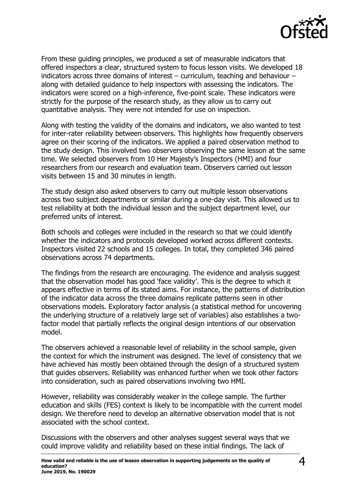

From these guiding principles, we produced a set of measurable indicators that offered inspectors a clear, structured system to focus lesson visits. We developed 18 indicators across three domains of interest – curriculum, teaching and behaviour – along with detailed guidance to help inspectors with assessing the indicators. The indicators were scored on a high-inference, five-point scale. These indicators were strictly for the purpose of the research study, as they allow us to carry out quantitative analysis. They were not intended for use on inspection.

Along with testing the validity of the domains and indicators, we also wanted to test for inter-rater reliability between observers. This highlights how frequently observers agree on their scoring of the indicators. We applied a paired observation method to the study design. This involved two observers observing the same lesson at the same time. We selected observers from 10 Her Majesty's Inspectors (HMI) and four researchers from our research and evaluation team. Observers carried out lesson visits between 15 and 30 minutes in length.

The study design also asked observers to carry out multiple lesson observations across two subject departments or similar during a one-day visit. This allowed us to test reliability at both the individual lesson and the subject department level, our preferred units of interest.

Both schools and colleges were included in the research so that we could identify whether the indicators and protocols developed worked across different contexts. Inspectors visited 22 schools and 15 colleges. In total, they completed 346 paired observations across 74 departments.

The findings from the research are encouraging. The evidence and analysis suggest that the observation model has good 'face validity'. This is the degree to which it appears effective in terms of its stated aims. For instance, the patterns of distribution of the indicator data across the three domains replicate patterns seen in other observations models. Exploratory factor analysis (a statistical method for uncovering the underlying structure of a relatively large set of variables) also establishes a twofactor model that partially reflects the original design intentions of our observation model.

The observers achieved a reasonable level of reliability in the school sample, given the context for which the instrument was designed. The level of consistency that we have achieved has mostly been obtained through the design of a structured system that guides observers. Reliability was enhanced further when we took other factors into consideration, such as paired observations involving two HMI.

However, reliability was considerably weaker in the college sample. The further education and skills (FES) context is likely to be incompatible with the current model design. We therefore need to develop an alternative observation model that is not associated with the school context.

Discussions with the observers and other analyses suggest several ways that we could improve validity and reliability based on these initial findings. The lack of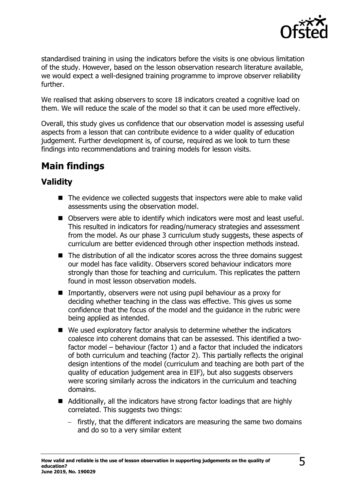

standardised training in using the indicators before the visits is one obvious limitation of the study. However, based on the lesson observation research literature available, we would expect a well-designed training programme to improve observer reliability further.

We realised that asking observers to score 18 indicators created a cognitive load on them. We will reduce the scale of the model so that it can be used more effectively.

Overall, this study gives us confidence that our observation model is assessing useful aspects from a lesson that can contribute evidence to a wider quality of education judgement. Further development is, of course, required as we look to turn these findings into recommendations and training models for lesson visits.

# <span id="page-4-0"></span>**Main findings**

### <span id="page-4-1"></span>**Validity**

- The evidence we collected suggests that inspectors were able to make valid assessments using the observation model.
- Observers were able to identify which indicators were most and least useful. This resulted in indicators for reading/numeracy strategies and assessment from the model. As our phase 3 curriculum study suggests, these aspects of curriculum are better evidenced through other inspection methods instead.
- $\blacksquare$  The distribution of all the indicator scores across the three domains suggest our model has face validity. Observers scored behaviour indicators more strongly than those for teaching and curriculum. This replicates the pattern found in most lesson observation models.
- Importantly, observers were not using pupil behaviour as a proxy for deciding whether teaching in the class was effective. This gives us some confidence that the focus of the model and the guidance in the rubric were being applied as intended.
- We used exploratory factor analysis to determine whether the indicators coalesce into coherent domains that can be assessed. This identified a twofactor model – behaviour (factor 1) and a factor that included the indicators of both curriculum and teaching (factor 2). This partially reflects the original design intentions of the model (curriculum and teaching are both part of the quality of education judgement area in EIF), but also suggests observers were scoring similarly across the indicators in the curriculum and teaching domains.
- Additionally, all the indicators have strong factor loadings that are highly correlated. This suggests two things:
	- − firstly, that the different indicators are measuring the same two domains and do so to a very similar extent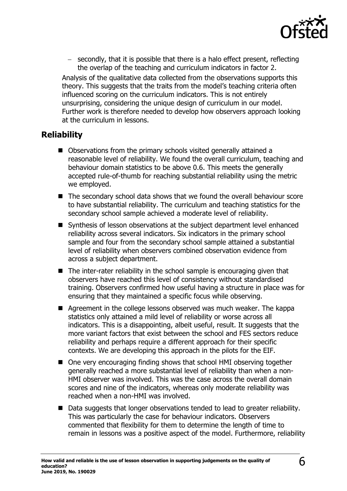

− secondly, that it is possible that there is a halo effect present, reflecting the overlap of the teaching and curriculum indicators in factor 2.

Analysis of the qualitative data collected from the observations supports this theory. This suggests that the traits from the model's teaching criteria often influenced scoring on the curriculum indicators. This is not entirely unsurprising, considering the unique design of curriculum in our model. Further work is therefore needed to develop how observers approach looking at the curriculum in lessons.

### <span id="page-5-0"></span>**Reliability**

- Observations from the primary schools visited generally attained a reasonable level of reliability. We found the overall curriculum, teaching and behaviour domain statistics to be above 0.6. This meets the generally accepted rule-of-thumb for reaching substantial reliability using the metric we employed.
- The secondary school data shows that we found the overall behaviour score to have substantial reliability. The curriculum and teaching statistics for the secondary school sample achieved a moderate level of reliability.
- Synthesis of lesson observations at the subject department level enhanced reliability across several indicators. Six indicators in the primary school sample and four from the secondary school sample attained a substantial level of reliability when observers combined observation evidence from across a subject department.
- The inter-rater reliability in the school sample is encouraging given that observers have reached this level of consistency without standardised training. Observers confirmed how useful having a structure in place was for ensuring that they maintained a specific focus while observing.
- Agreement in the college lessons observed was much weaker. The kappa statistics only attained a mild level of reliability or worse across all indicators. This is a disappointing, albeit useful, result. It suggests that the more variant factors that exist between the school and FES sectors reduce reliability and perhaps require a different approach for their specific contexts. We are developing this approach in the pilots for the EIF.
- One very encouraging finding shows that school HMI observing together generally reached a more substantial level of reliability than when a non-HMI observer was involved. This was the case across the overall domain scores and nine of the indicators, whereas only moderate reliability was reached when a non-HMI was involved.
- Data suggests that longer observations tended to lead to greater reliability. This was particularly the case for behaviour indicators. Observers commented that flexibility for them to determine the length of time to remain in lessons was a positive aspect of the model. Furthermore, reliability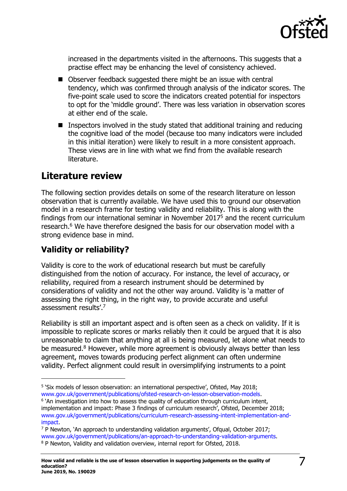

increased in the departments visited in the afternoons. This suggests that a practise effect may be enhancing the level of consistency achieved.

- Observer feedback suggested there might be an issue with central tendency, which was confirmed through analysis of the indicator scores. The five-point scale used to score the indicators created potential for inspectors to opt for the 'middle ground'. There was less variation in observation scores at either end of the scale.
- Inspectors involved in the study stated that additional training and reducing the cognitive load of the model (because too many indicators were included in this initial iteration) were likely to result in a more consistent approach. These views are in line with what we find from the available research literature.

# <span id="page-6-0"></span>**Literature review**

The following section provides details on some of the research literature on lesson observation that is currently available. We have used this to ground our observation model in a research frame for testing validity and reliability. This is along with the findings from our international seminar in November 2017<sup>5</sup> and the recent curriculum research.<sup>6</sup> We have therefore designed the basis for our observation model with a strong evidence base in mind.

# <span id="page-6-1"></span>**Validity or reliability?**

 $\overline{a}$ 

Validity is core to the work of educational research but must be carefully distinguished from the notion of accuracy. For instance, the level of accuracy, or reliability, required from a research instrument should be determined by considerations of validity and not the other way around. Validity is 'a matter of assessing the right thing, in the right way, to provide accurate and useful assessment results'.<sup>7</sup>

Reliability is still an important aspect and is often seen as a check on validity. If it is impossible to replicate scores or marks reliably then it could be argued that it is also unreasonable to claim that anything at all is being measured, let alone what needs to be measured.<sup>8</sup> However, while more agreement is obviously always better than less agreement, moves towards producing perfect alignment can often undermine validity. Perfect alignment could result in oversimplifying instruments to a point

<sup>&</sup>lt;sup>5</sup> 'Six models of lesson observation: an international perspective', Ofsted, May 2018; [www.gov.uk/government/publications/ofsted-research-on-lesson-observation-models.](http://www.gov.uk/government/publications/ofsted-research-on-lesson-observation-models)

<sup>&</sup>lt;sup>6</sup> `An investigation into how to assess the quality of education through curriculum intent, implementation and impact: Phase 3 findings of curriculum research', Ofsted, December 2018; [www.gov.uk/government/publications/curriculum-research-assessing-intent-implementation-and](http://www.gov.uk/government/publications/curriculum-research-assessing-intent-implementation-and-impact)[impact.](http://www.gov.uk/government/publications/curriculum-research-assessing-intent-implementation-and-impact)

 $7$  P Newton, 'An approach to understanding validation arguments', Ofqual, October 2017; [www.gov.uk/government/publications/an-approach-to-understanding-validation-arguments.](http://www.gov.uk/government/publications/an-approach-to-understanding-validation-arguments) <sup>8</sup> P Newton, Validity and validation overview, internal report for Ofsted, 2018.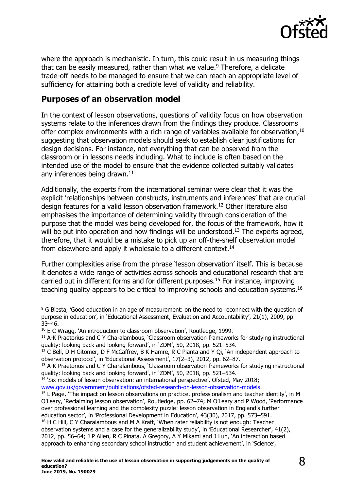

where the approach is mechanistic. In turn, this could result in us measuring things that can be easily measured, rather than what we value. <sup>9</sup> Therefore, a delicate trade-off needs to be managed to ensure that we can reach an appropriate level of sufficiency for attaining both a credible level of validity and reliability.

### <span id="page-7-0"></span>**Purposes of an observation model**

In the context of lesson observations, questions of validity focus on how observation systems relate to the inferences drawn from the findings they produce. Classrooms offer complex environments with a rich range of variables available for observation.<sup>10</sup> suggesting that observation models should seek to establish clear justifications for design decisions. For instance, not everything that can be observed from the classroom or in lessons needs including. What to include is often based on the intended use of the model to ensure that the evidence collected suitably validates any inferences being drawn.<sup>11</sup>

Additionally, the experts from the international seminar were clear that it was the explicit 'relationships between constructs, instruments and inferences' that are crucial design features for a valid lesson observation framework.<sup>12</sup> Other literature also emphasises the importance of determining validity through consideration of the purpose that the model was being developed for, the focus of the framework, how it will be put into operation and how findings will be understood.<sup>13</sup> The experts agreed, therefore, that it would be a mistake to pick up an off-the-shelf observation model from elsewhere and apply it wholesale to a different context.<sup>14</sup>

Further complexities arise from the phrase 'lesson observation' itself. This is because it denotes a wide range of activities across schools and educational research that are carried out in different forms and for different purposes.<sup>15</sup> For instance, improving teaching quality appears to be critical to improving schools and education systems.<sup>16</sup>

j

<sup>14</sup> 'Six models of lesson observation: an international perspective', Ofsted, May 2018;

[www.gov.uk/government/publications/ofsted-research-on-lesson-observation-models.](http://www.gov.uk/government/publications/ofsted-research-on-lesson-observation-models)

<sup>&</sup>lt;sup>9</sup> G Biesta, 'Good education in an age of measurement: on the need to reconnect with the question of purpose in education', in 'Educational Assessment, Evaluation and Accountability', 21(1), 2009, pp. 33̶–46.

<sup>&</sup>lt;sup>10</sup> E C Wragg, 'An introduction to classroom observation', Routledge, 1999.

<sup>&</sup>lt;sup>11</sup> A-K Praetorius and C Y Charalambous, 'Classroom observation frameworks for studying instructional quality: looking back and looking forward', in 'ZDM', 50, 2018, pp. 521–534.

<sup>&</sup>lt;sup>12</sup> C Bell, D H Gitomer, D F McCaffrey, B K Hamre, R C Pianta and Y Qi, 'An independent approach to observation protocol', in 'Educational Assessment', 17(2–3), 2012, pp. 62–87.

<sup>&</sup>lt;sup>13</sup> A-K Praetorius and C Y Charalambous, 'Classroom observation frameworks for studying instructional quality: looking back and looking forward', in 'ZDM', 50, 2018, pp. 521–534.

<sup>&</sup>lt;sup>15</sup> L Page, 'The impact on lesson observations on practice, professionalism and teacher identity', in M O'Leary, 'Reclaiming lesson observation', Routledge, pp. 62–74; M O'Leary and P Wood, 'Performance over professional learning and the complexity puzzle: lesson observation in England's further education sector', in 'Professional Development in Education', 43(30), 2017, pp. 573–591. <sup>16</sup> H C Hill, C Y Charalambous and M A Kraft, 'When rater reliability is not enough: Teacher observation systems and a case for the generalizability study', in 'Educational Researcher', 41(2), 2012, pp. 56–64; J P Allen, R C Pinata, A Gregory, A Y Mikami and J Lun, 'An interaction based approach to enhancing secondary school instruction and student achievement', in 'Science',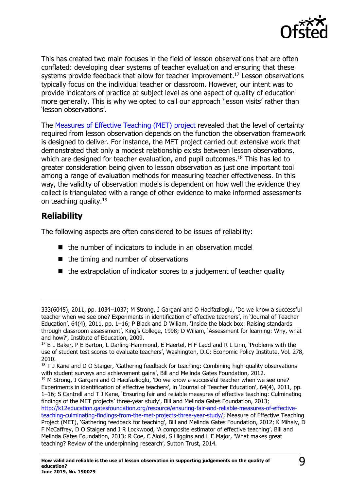

This has created two main focuses in the field of lesson observations that are often conflated: developing clear systems of teacher evaluation and ensuring that these systems provide feedback that allow for teacher improvement.<sup>17</sup> Lesson observations typically focus on the individual teacher or classroom. However, our intent was to provide indicators of practice at subject level as one aspect of quality of education more generally. This is why we opted to call our approach 'lesson visits' rather than 'lesson observations'.

The [Measures of Effective Teaching \(MET\) project](http://k12education.gatesfoundation.org/blog/measures-of-effective-teaching-met-project/) revealed that the level of certainty required from lesson observation depends on the function the observation framework is designed to deliver. For instance, the MET project carried out extensive work that demonstrated that only a modest relationship exists between lesson observations, which are designed for teacher evaluation, and pupil outcomes.<sup>18</sup> This has led to greater consideration being given to lesson observation as just one important tool among a range of evaluation methods for measuring teacher effectiveness. In this way, the validity of observation models is dependent on how well the evidence they collect is triangulated with a range of other evidence to make informed assessments on teaching quality.<sup>19</sup>

### <span id="page-8-0"></span>**Reliability**

j

The following aspects are often considered to be issues of reliability:

- the number of indicators to include in an observation model
- the timing and number of observations
- the extrapolation of indicator scores to a judgement of teacher quality

<sup>333(6045), 2011,</sup> pp. 1034–1037; M Strong, J Gargani and O Hacifazlioglu, 'Do we know a successful teacher when we see one? Experiments in identification of effective teachers', in 'Journal of Teacher Education', 64(4), 2011, pp.  $1-16$ ; P Black and D Wiliam, 'Inside the black box: Raising standards through classroom assessment', King's College, 1998; D Wiliam, 'Assessment for learning: Why, what and how?', Institute of Education, 2009.

<sup>&</sup>lt;sup>17</sup> E L Baker, P E Barton, L Darling-Hammond, E Haertel, H F Ladd and R L Linn, 'Problems with the use of student test scores to evaluate teachers', Washington, D.C: Economic Policy Institute, Vol. 278, 2010.

<sup>&</sup>lt;sup>18</sup> T J Kane and D O Staiger, 'Gathering feedback for teaching: Combining high-quality observations with student surveys and achievement gains', Bill and Melinda Gates Foundation, 2012.

<sup>&</sup>lt;sup>19</sup> M Strong, J Gargani and O Hacifazlioglu, 'Do we know a successful teacher when we see one? Experiments in identification of effective teachers', in 'Journal of Teacher Education', 64(4), 2011, pp. 1–16; S Cantrell and T J Kane, 'Ensuring fair and reliable measures of effective teaching: Culminating findings of the MET projects' three-year study', Bill and Melinda Gates Foundation, 2013; [http://k12education.gatesfoundation.org/resource/ensuring-fair-and-reliable-measures-of-effective-](http://k12education.gatesfoundation.org/resource/ensuring-fair-and-reliable-measures-of-effective-teaching-culminating-findings-from-the-met-projects-three-year-study/)

[teaching-culminating-findings-from-the-met-projects-three-year-study/;](http://k12education.gatesfoundation.org/resource/ensuring-fair-and-reliable-measures-of-effective-teaching-culminating-findings-from-the-met-projects-three-year-study/) Measure of Effective Teaching Project (MET), 'Gathering feedback for teaching', Bill and Melinda Gates Foundation, 2012; K Mihaly, D F McCaffrey, D O Staiger and J R Lockwood, 'A composite estimator of effective teaching', Bill and Melinda Gates Foundation, 2013; R Coe, C Aloisi, S Higgins and L E Major, 'What makes great teaching? Review of the underpinning research', Sutton Trust, 2014.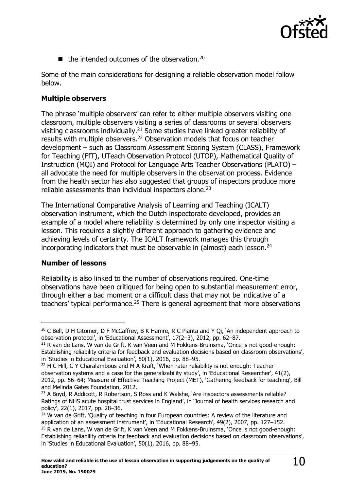

 $\blacksquare$  the intended outcomes of the observation.<sup>20</sup>

Some of the main considerations for designing a reliable observation model follow below.

### **Multiple observers**

The phrase 'multiple observers' can refer to either multiple observers visiting one classroom, multiple observers visiting a series of classrooms or several observers visiting classrooms individually.<sup>21</sup> Some studies have linked greater reliability of results with multiple observers.<sup>22</sup> Observation models that focus on teacher development – such as Classroom Assessment Scoring System (CLASS), Framework for Teaching (FfT), UTeach Observation Protocol (UTOP), Mathematical Quality of Instruction (MQI) and Protocol for Language Arts Teacher Observations (PLATO) – all advocate the need for multiple observers in the observation process. Evidence from the health sector has also suggested that groups of inspectors produce more reliable assessments than individual inspectors alone. 23

The International Comparative Analysis of Learning and Teaching (ICALT) observation instrument, which the Dutch inspectorate developed, provides an example of a model where reliability is determined by only one inspector visiting a lesson. This requires a slightly different approach to gathering evidence and achieving levels of certainty. The ICALT framework manages this through incorporating indicators that must be observable in (almost) each lesson.<sup>24</sup>

### **Number of lessons**

-

Reliability is also linked to the number of observations required. One-time observations have been critiqued for being open to substantial measurement error, through either a bad moment or a difficult class that may not be indicative of a teachers' typical performance.<sup>25</sup> There is general agreement that more observations

<sup>&</sup>lt;sup>20</sup> C Bell, D H Gitomer, D F McCaffrey, B K Hamre, R C Pianta and Y Qi, `An independent approach to observation protocol', in 'Educational Assessment', 17(2–3), 2012, pp. 62–87.

<sup>&</sup>lt;sup>21</sup> R van de Lans, W van de Grift, K van Veen and M Fokkens-Bruinsma, 'Once is not good-enough: Establishing reliability criteria for feedback and evaluation decisions based on classroom observations', in 'Studies in Educational Evaluation', 50(1), 2016, pp. 88–95.

<sup>&</sup>lt;sup>22</sup> H C Hill, C Y Charalambous and M A Kraft, 'When rater reliability is not enough: Teacher observation systems and a case for the generalizability study', in 'Educational Researcher', 41(2), 2012, pp. 56–64; Measure of Effective Teaching Project (MET), 'Gathering feedback for teaching', Bill and Melinda Gates Foundation, 2012.

<sup>&</sup>lt;sup>23</sup> A Boyd, R Addicott, R Robertson, S Ross and K Walshe, *`Are inspectors assessments reliable*? Ratings of NHS acute hospital trust services in England', in 'Journal of health services research and policy', 22(1), 2017, pp. 28–36.

 $24$  W van de Grift, 'Quality of teaching in four European countries: A review of the literature and application of an assessment instrument', in 'Educational Research', 49(2), 2007, pp. 127–152.  $25$  R van de Lans, W van de Grift, K van Veen and M Fokkens-Bruinsma, 'Once is not good-enough:

Establishing reliability criteria for feedback and evaluation decisions based on classroom observations', in 'Studies in Educational Evaluation', 50(1), 2016, pp. 88–95.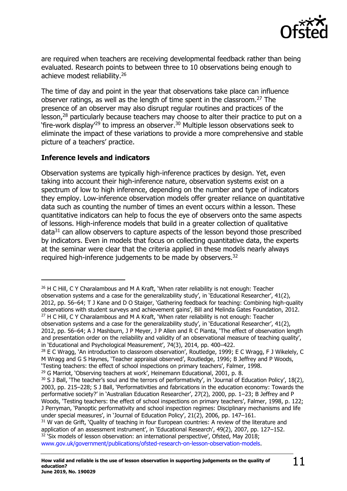

are required when teachers are receiving developmental feedback rather than being evaluated. Research points to between three to 10 observations being enough to achieve modest reliability.<sup>26</sup>

The time of day and point in the year that observations take place can influence observer ratings, as well as the length of time spent in the classroom.<sup>27</sup> The presence of an observer may also disrupt regular routines and practices of the lesson,<sup>28</sup> particularly because teachers may choose to alter their practice to put on a 'fire-work display'<sup>29</sup> to impress an observer. <sup>30</sup> Multiple lesson observations seek to eliminate the impact of these variations to provide a more comprehensive and stable picture of a teachers' practice.

### **Inference levels and indicators**

 $\overline{a}$ 

Observation systems are typically high-inference practices by design. Yet, even taking into account their high-inference nature, observation systems exist on a spectrum of low to high inference, depending on the number and type of indicators they employ. Low-inference observation models offer greater reliance on quantitative data such as counting the number of times an event occurs within a lesson. These quantitative indicators can help to focus the eye of observers onto the same aspects of lessons. High-inference models that build in a greater collection of qualitative data<sup>31</sup> can allow observers to capture aspects of the lesson beyond those prescribed by indicators. Even in models that focus on collecting quantitative data, the experts at the seminar were clear that the criteria applied in these models nearly always required high-inference judgements to be made by observers.<sup>32</sup>

<sup>&</sup>lt;sup>26</sup> H C Hill, C Y Charalambous and M A Kraft, 'When rater reliability is not enough: Teacher observation systems and a case for the generalizability study', in 'Educational Researcher', 41(2), 2012, pp. 56–64; T J Kane and D O Staiger, 'Gathering feedback for teaching: Combining high-quality observations with student surveys and achievement gains', Bill and Melinda Gates Foundation, 2012.  $27$  H C Hill, C Y Charalambous and M A Kraft, 'When rater reliability is not enough: Teacher observation systems and a case for the generalizability study', in 'Educational Researcher', 41(2), 2012, pp. 56–64; A J Mashburn, J P Meyer, J P Allen and R C Pianta, 'The effect of observation length and presentation order on the reliability and validity of an observational measure of teaching quality',

in 'Educational and Psychological Measurement', 74(3), 2014, pp. 400–422.

<sup>&</sup>lt;sup>28</sup> E C Wragg, 'An introduction to classroom observation', Routledge, 1999; E C Wragg, F J Wikelely, C M Wragg and G S Haynes, 'Teacher appraisal observed', Routledge, 1996; B Jeffrey and P Woods, 'Testing teachers: the effect of school inspections on primary teachers', Falmer, 1998.

<sup>&</sup>lt;sup>29</sup> G Marriot, 'Observing teachers at work', Heinemann Educational, 2001, p. 8.

<sup>&</sup>lt;sup>30</sup> S J Ball, 'The teacher's soul and the terrors of performativity', in 'Journal of Education Policy', 18(2), 2003, pp. 215–228; S J Ball, 'Performativities and fabrications in the education economy: Towards the performative society?' in 'Australian Education Researcher', 27(2), 2000, pp. 1–23; B Jeffrey and P Woods, 'Testing teachers: the effect of school inspections on primary teachers', Falmer, 1998, p. 122; J Perryman, 'Panoptic performativity and school inspection regimes: Disciplinary mechanisms and life under special measures', in 'Journal of Education Policy', 21(2), 2006, pp. 147–161.

<sup>&</sup>lt;sup>31</sup> W van de Grift, 'Quality of teaching in four European countries: A review of the literature and application of an assessment instrument', in 'Educational Research', 49(2), 2007, pp. 127–152.  $32$  'Six models of lesson observation: an international perspective', Ofsted, May 2018; [www.gov.uk/government/publications/ofsted-research-on-lesson-observation-models.](http://www.gov.uk/government/publications/ofsted-research-on-lesson-observation-models)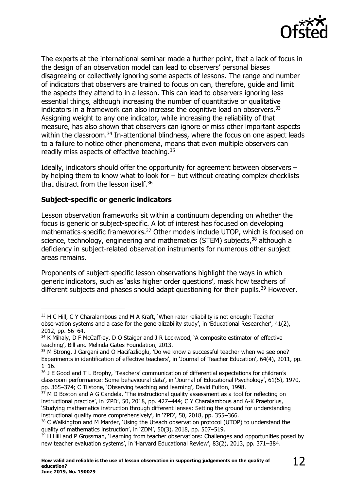

The experts at the international seminar made a further point, that a lack of focus in the design of an observation model can lead to observers' personal biases disagreeing or collectively ignoring some aspects of lessons. The range and number of indicators that observers are trained to focus on can, therefore, guide and limit the aspects they attend to in a lesson. This can lead to observers ignoring less essential things, although increasing the number of quantitative or qualitative indicators in a framework can also increase the cognitive load on observers.<sup>33</sup> Assigning weight to any one indicator, while increasing the reliability of that measure, has also shown that observers can ignore or miss other important aspects within the classroom.<sup>34</sup> In-attentional blindness, where the focus on one aspect leads to a failure to notice other phenomena, means that even multiple observers can readily miss aspects of effective teaching.<sup>35</sup>

Ideally, indicators should offer the opportunity for agreement between observers – by helping them to know what to look for – but without creating complex checklists that distract from the lesson itself.<sup>36</sup>

### **Subject-specific or generic indicators**

 $\overline{a}$ 

Lesson observation frameworks sit within a continuum depending on whether the focus is generic or subject-specific. A lot of interest has focused on developing mathematics-specific frameworks.<sup>37</sup> Other models include UTOP, which is focused on science, technology, engineering and mathematics (STEM) subjects,<sup>38</sup> although a deficiency in subject-related observation instruments for numerous other subject areas remains.

Proponents of subject-specific lesson observations highlight the ways in which generic indicators, such as 'asks higher order questions', mask how teachers of different subjects and phases should adapt questioning for their pupils.<sup>39</sup> However,

<sup>&</sup>lt;sup>33</sup> H C Hill, C Y Charalambous and M A Kraft, 'When rater reliability is not enough: Teacher observation systems and a case for the generalizability study', in 'Educational Researcher', 41(2), 2012, pp. 56–64.

<sup>&</sup>lt;sup>34</sup> K Mihaly, D F McCaffrey, D O Staiger and J R Lockwood, `A composite estimator of effective teaching', Bill and Melinda Gates Foundation, 2013.

<sup>35</sup> M Strong, J Gargani and O Hacifazlioglu, 'Do we know a successful teacher when we see one? Experiments in identification of effective teachers', in 'Journal of Teacher Education', 64(4), 2011, pp.  $1 - 16$ .

<sup>&</sup>lt;sup>36</sup> J E Good and T L Brophy, 'Teachers' communication of differential expectations for children's classroom performance: Some behavioural data', in 'Journal of Educational Psychology', 61(5), 1970, pp. 365–374; C Tilstone, 'Observing teaching and learning', David Fulton, 1998.

 $37$  M D Boston and A G Candela, 'The instructional quality assessment as a tool for reflecting on instructional practice', in 'ZPD', 50, 2018, pp. 427–444; C Y Charalambous and A-K Praetorius, 'Studying mathematics instruction through different lenses: Setting the ground for understanding instructional quality more comprehensively', in 'ZPD', 50, 2018, pp. 355–366.

<sup>&</sup>lt;sup>38</sup> C Walkington and M Marder, 'Using the Uteach observation protocol (UTOP) to understand the quality of mathematics instruction', in 'ZDM', 50(3), 2018, pp. 507–519.

<sup>&</sup>lt;sup>39</sup> H Hill and P Grossman, 'Learning from teacher observations: Challenges and opportunities posed by new teacher evaluation systems', in 'Harvard Educational Review', 83(2), 2013, pp. 371–384.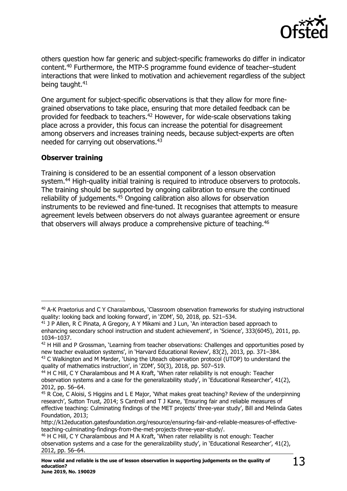

others question how far generic and subject-specific frameworks do differ in indicator content.<sup>40</sup> Furthermore, the MTP-S programme found evidence of teacher–student interactions that were linked to motivation and achievement regardless of the subject being taught.<sup>41</sup>

One argument for subject-specific observations is that they allow for more finegrained observations to take place, ensuring that more detailed feedback can be provided for feedback to teachers.<sup>42</sup> However, for wide-scale observations taking place across a provider, this focus can increase the potential for disagreement among observers and increases training needs, because subject-experts are often needed for carrying out observations.<sup>43</sup>

### **Observer training**

j

Training is considered to be an essential component of a lesson observation system.<sup>44</sup> High-quality initial training is required to introduce observers to protocols. The training should be supported by ongoing calibration to ensure the continued reliability of judgements.<sup>45</sup> Ongoing calibration also allows for observation instruments to be reviewed and fine-tuned. It recognises that attempts to measure agreement levels between observers do not always guarantee agreement or ensure that observers will always produce a comprehensive picture of teaching.<sup>46</sup>

<sup>40</sup> A-K Praetorius and C Y Charalambous, 'Classroom observation frameworks for studying instructional quality: looking back and looking forward', in 'ZDM', 50, 2018, pp. 521–534.

 $41$  J P Allen, R C Pinata, A Gregory, A Y Mikami and J Lun, `An interaction based approach to enhancing secondary school instruction and student achievement', in 'Science', 333(6045), 2011, pp. 1034–1037.

<sup>&</sup>lt;sup>42</sup> H Hill and P Grossman, 'Learning from teacher observations: Challenges and opportunities posed by new teacher evaluation systems', in 'Harvard Educational Review', 83(2), 2013, pp. 371–384.

<sup>&</sup>lt;sup>43</sup> C Walkington and M Marder, 'Using the Uteach observation protocol (UTOP) to understand the quality of mathematics instruction', in 'ZDM', 50(3), 2018, pp. 507–519.

 $44$  H C Hill, C Y Charalambous and M A Kraft, 'When rater reliability is not enough: Teacher observation systems and a case for the generalizability study', in 'Educational Researcher', 41(2), 2012, pp. 56–64.

<sup>45</sup> R Coe, C Aloisi, S Higgins and L E Major, 'What makes great teaching? Review of the underpinning research', Sutton Trust, 2014; S Cantrell and T J Kane, 'Ensuring fair and reliable measures of effective teaching: Culminating findings of the MET projects' three-year study', Bill and Melinda Gates Foundation, 2013;

http://k12education.gatesfoundation.org/resource/ensuring-fair-and-reliable-measures-of-effectiveteaching-culminating-findings-from-the-met-projects-three-year-study/.

<sup>46</sup> H C Hill, C Y Charalambous and M A Kraft, 'When rater reliability is not enough: Teacher observation systems and a case for the generalizability study', in 'Educational Researcher', 41(2), 2012, pp. 56–64.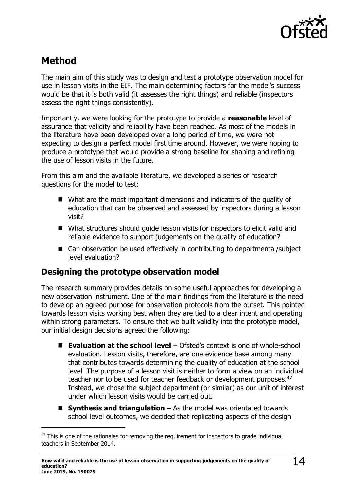

# <span id="page-13-0"></span>**Method**

j

The main aim of this study was to design and test a prototype observation model for use in lesson visits in the EIF. The main determining factors for the model's success would be that it is both valid (it assesses the right things) and reliable (inspectors assess the right things consistently).

Importantly, we were looking for the prototype to provide a **reasonable** level of assurance that validity and reliability have been reached. As most of the models in the literature have been developed over a long period of time, we were not expecting to design a perfect model first time around. However, we were hoping to produce a prototype that would provide a strong baseline for shaping and refining the use of lesson visits in the future.

From this aim and the available literature, we developed a series of research questions for the model to test:

- What are the most important dimensions and indicators of the quality of education that can be observed and assessed by inspectors during a lesson visit?
- What structures should quide lesson visits for inspectors to elicit valid and reliable evidence to support judgements on the quality of education?
- Can observation be used effectively in contributing to departmental/subject level evaluation?

# <span id="page-13-1"></span>**Designing the prototype observation model**

The research summary provides details on some useful approaches for developing a new observation instrument. One of the main findings from the literature is the need to develop an agreed purpose for observation protocols from the outset. This pointed towards lesson visits working best when they are tied to a clear intent and operating within strong parameters. To ensure that we built validity into the prototype model, our initial design decisions agreed the following:

- **Evaluation at the school level** Ofsted's context is one of whole-school evaluation. Lesson visits, therefore, are one evidence base among many that contributes towards determining the quality of education at the school level. The purpose of a lesson visit is neither to form a view on an individual teacher nor to be used for teacher feedback or development purposes.<sup>47</sup> Instead, we chose the subject department (or similar) as our unit of interest under which lesson visits would be carried out.
- **Synthesis and triangulation** As the model was orientated towards school level outcomes, we decided that replicating aspects of the design

 $47$  This is one of the rationales for removing the requirement for inspectors to grade individual teachers in September 2014.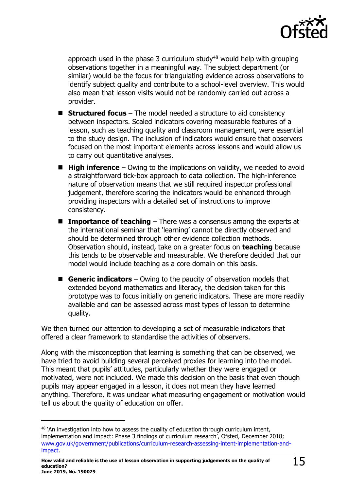

approach used in the phase 3 curriculum study $48$  would help with grouping observations together in a meaningful way. The subject department (or similar) would be the focus for triangulating evidence across observations to identify subject quality and contribute to a school-level overview. This would also mean that lesson visits would not be randomly carried out across a provider.

- **Structured focus** The model needed a structure to aid consistency between inspectors. Scaled indicators covering measurable features of a lesson, such as teaching quality and classroom management, were essential to the study design. The inclusion of indicators would ensure that observers focused on the most important elements across lessons and would allow us to carry out quantitative analyses.
- **High inference** Owing to the implications on validity, we needed to avoid a straightforward tick-box approach to data collection. The high-inference nature of observation means that we still required inspector professional judgement, therefore scoring the indicators would be enhanced through providing inspectors with a detailed set of instructions to improve consistency.
- Importance of teaching There was a consensus among the experts at the international seminar that 'learning' cannot be directly observed and should be determined through other evidence collection methods. Observation should, instead, take on a greater focus on **teaching** because this tends to be observable and measurable. We therefore decided that our model would include teaching as a core domain on this basis.
- Generic indicators Owing to the paucity of observation models that extended beyond mathematics and literacy, the decision taken for this prototype was to focus initially on generic indicators. These are more readily available and can be assessed across most types of lesson to determine quality.

We then turned our attention to developing a set of measurable indicators that offered a clear framework to standardise the activities of observers.

Along with the misconception that learning is something that can be observed, we have tried to avoid building several perceived proxies for learning into the model. This meant that pupils' attitudes, particularly whether they were engaged or motivated, were not included. We made this decision on the basis that even though pupils may appear engaged in a lesson, it does not mean they have learned anything. Therefore, it was unclear what measuring engagement or motivation would tell us about the quality of education on offer.

 $\overline{a}$ 

<sup>&</sup>lt;sup>48</sup> 'An investigation into how to assess the quality of education through curriculum intent, implementation and impact: Phase 3 findings of curriculum research', Ofsted, December 2018; [www.gov.uk/government/publications/curriculum-research-assessing-intent-implementation-and](http://www.gov.uk/government/publications/curriculum-research-assessing-intent-implementation-and-impact)[impact.](http://www.gov.uk/government/publications/curriculum-research-assessing-intent-implementation-and-impact)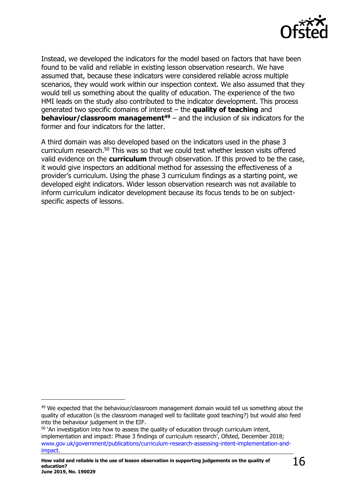

Instead, we developed the indicators for the model based on factors that have been found to be valid and reliable in existing lesson observation research. We have assumed that, because these indicators were considered reliable across multiple scenarios, they would work within our inspection context. We also assumed that they would tell us something about the quality of education. The experience of the two HMI leads on the study also contributed to the indicator development. This process generated two specific domains of interest – the **quality of teaching** and **behaviour/classroom management<sup>49</sup>** – and the inclusion of six indicators for the former and four indicators for the latter.

A third domain was also developed based on the indicators used in the phase 3 curriculum research.<sup>50</sup> This was so that we could test whether lesson visits offered valid evidence on the **curriculum** through observation. If this proved to be the case, it would give inspectors an additional method for assessing the effectiveness of a provider's curriculum. Using the phase 3 curriculum findings as a starting point, we developed eight indicators. Wider lesson observation research was not available to inform curriculum indicator development because its focus tends to be on subjectspecific aspects of lessons.

j

<sup>&</sup>lt;sup>49</sup> We expected that the behaviour/classroom management domain would tell us something about the quality of education (is the classroom managed well to facilitate good teaching?) but would also feed into the behaviour judgement in the EIF.

 $50$  'An investigation into how to assess the quality of education through curriculum intent, implementation and impact: Phase 3 findings of curriculum research', Ofsted, December 2018; [www.gov.uk/government/publications/curriculum-research-assessing-intent-implementation-and](http://www.gov.uk/government/publications/curriculum-research-assessing-intent-implementation-and-impact)[impact.](http://www.gov.uk/government/publications/curriculum-research-assessing-intent-implementation-and-impact)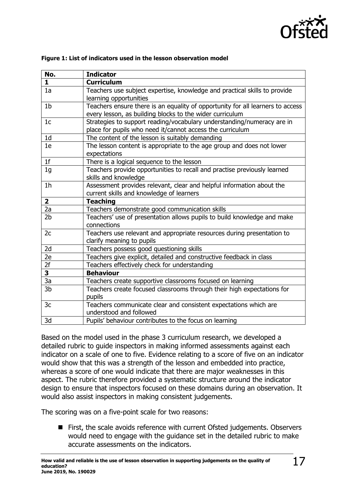

| No.            | <b>Indicator</b>                                                                  |
|----------------|-----------------------------------------------------------------------------------|
| $\mathbf{1}$   | <b>Curriculum</b>                                                                 |
| 1a             | Teachers use subject expertise, knowledge and practical skills to provide         |
|                | learning opportunities                                                            |
| 1 <sub>b</sub> | Teachers ensure there is an equality of opportunity for all learners to access    |
|                | every lesson, as building blocks to the wider curriculum                          |
| 1 <sub>c</sub> | Strategies to support reading/vocabulary understanding/numeracy are in            |
|                | place for pupils who need it/cannot access the curriculum                         |
| 1 <sub>d</sub> | The content of the lesson is suitably demanding                                   |
| 1e             | The lesson content is appropriate to the age group and does not lower             |
|                | expectations                                                                      |
| 1 <sub>f</sub> | There is a logical sequence to the lesson                                         |
| 1 <sub>g</sub> | Teachers provide opportunities to recall and practise previously learned          |
|                | skills and knowledge                                                              |
| 1 <sub>h</sub> | Assessment provides relevant, clear and helpful information about the             |
|                | current skills and knowledge of learners                                          |
|                |                                                                                   |
| $\mathbf{2}$   | <b>Teaching</b>                                                                   |
| 2a             | Teachers demonstrate good communication skills                                    |
| 2 <sub>b</sub> | Teachers' use of presentation allows pupils to build knowledge and make           |
|                | connections                                                                       |
| 2c             | Teachers use relevant and appropriate resources during presentation to            |
|                | clarify meaning to pupils                                                         |
| 2d             | Teachers possess good questioning skills                                          |
| 2e             | Teachers give explicit, detailed and constructive feedback in class               |
| 2f             | Teachers effectively check for understanding                                      |
| 3              | <b>Behaviour</b>                                                                  |
| 3a             | Teachers create supportive classrooms focused on learning                         |
| 3 <sub>b</sub> | Teachers create focused classrooms through their high expectations for            |
|                | pupils                                                                            |
| 3c             | Teachers communicate clear and consistent expectations which are                  |
| 3d             | understood and followed<br>Pupils' behaviour contributes to the focus on learning |

#### **Figure 1: List of indicators used in the lesson observation model**

Based on the model used in the phase 3 curriculum research, we developed a detailed rubric to guide inspectors in making informed assessments against each indicator on a scale of one to five. Evidence relating to a score of five on an indicator would show that this was a strength of the lesson and embedded into practice, whereas a score of one would indicate that there are major weaknesses in this aspect. The rubric therefore provided a systematic structure around the indicator design to ensure that inspectors focused on these domains during an observation. It would also assist inspectors in making consistent judgements.

The scoring was on a five-point scale for two reasons:

■ First, the scale avoids reference with current Ofsted judgements. Observers would need to engage with the guidance set in the detailed rubric to make accurate assessments on the indicators.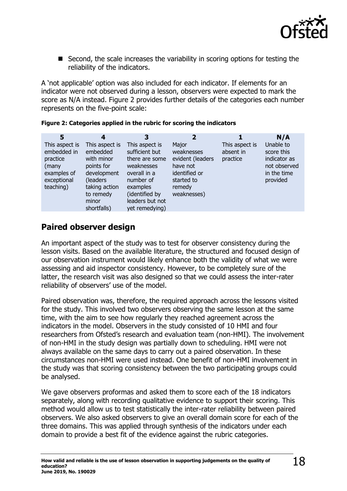

■ Second, the scale increases the variability in scoring options for testing the reliability of the indicators.

A 'not applicable' option was also included for each indicator. If elements for an indicator were not observed during a lesson, observers were expected to mark the score as N/A instead. Figure 2 provides further details of the categories each number represents on the five-point scale:

| 5                                                                                             | 4                                                                                                                                        | 3                                                                                                                                                                | $\overline{2}$                                                                                              |                                         | N/A                                                                                |
|-----------------------------------------------------------------------------------------------|------------------------------------------------------------------------------------------------------------------------------------------|------------------------------------------------------------------------------------------------------------------------------------------------------------------|-------------------------------------------------------------------------------------------------------------|-----------------------------------------|------------------------------------------------------------------------------------|
| This aspect is<br>embedded in<br>practice<br>(many<br>examples of<br>exceptional<br>teaching) | This aspect is<br>embedded<br>with minor<br>points for<br>development<br>(leaders)<br>taking action<br>to remedy<br>minor<br>shortfalls) | This aspect is<br>sufficient but<br>there are some<br>weaknesses<br>overall in a<br>number of<br>examples<br>(identified by<br>leaders but not<br>yet remedying) | Major<br>weaknesses<br>evident (leaders<br>have not<br>identified or<br>started to<br>remedy<br>weaknesses) | This aspect is<br>absent in<br>practice | Unable to<br>score this<br>indicator as<br>not observed<br>in the time<br>provided |

|  |  |  |  |  | Figure 2: Categories applied in the rubric for scoring the indicators |
|--|--|--|--|--|-----------------------------------------------------------------------|
|--|--|--|--|--|-----------------------------------------------------------------------|

# <span id="page-17-0"></span>**Paired observer design**

An important aspect of the study was to test for observer consistency during the lesson visits. Based on the available literature, the structured and focused design of our observation instrument would likely enhance both the validity of what we were assessing and aid inspector consistency. However, to be completely sure of the latter, the research visit was also designed so that we could assess the inter-rater reliability of observers' use of the model.

Paired observation was, therefore, the required approach across the lessons visited for the study. This involved two observers observing the same lesson at the same time, with the aim to see how regularly they reached agreement across the indicators in the model. Observers in the study consisted of 10 HMI and four researchers from Ofsted's research and evaluation team (non-HMI). The involvement of non-HMI in the study design was partially down to scheduling. HMI were not always available on the same days to carry out a paired observation. In these circumstances non-HMI were used instead. One benefit of non-HMI involvement in the study was that scoring consistency between the two participating groups could be analysed.

We gave observers proformas and asked them to score each of the 18 indicators separately, along with recording qualitative evidence to support their scoring. This method would allow us to test statistically the inter-rater reliability between paired observers. We also asked observers to give an overall domain score for each of the three domains. This was applied through synthesis of the indicators under each domain to provide a best fit of the evidence against the rubric categories.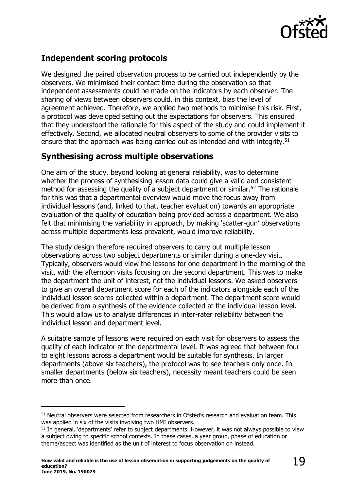

# <span id="page-18-0"></span>**Independent scoring protocols**

We designed the paired observation process to be carried out independently by the observers. We minimised their contact time during the observation so that independent assessments could be made on the indicators by each observer. The sharing of views between observers could, in this context, bias the level of agreement achieved. Therefore, we applied two methods to minimise this risk. First, a protocol was developed setting out the expectations for observers. This ensured that they understood the rationale for this aspect of the study and could implement it effectively. Second, we allocated neutral observers to some of the provider visits to ensure that the approach was being carried out as intended and with integrity.<sup>51</sup>

### <span id="page-18-1"></span>**Synthesising across multiple observations**

One aim of the study, beyond looking at general reliability, was to determine whether the process of synthesising lesson data could give a valid and consistent method for assessing the quality of a subject department or similar.<sup>52</sup> The rationale for this was that a departmental overview would move the focus away from individual lessons (and, linked to that, teacher evaluation) towards an appropriate evaluation of the quality of education being provided across a department. We also felt that minimising the variability in approach, by making 'scatter-gun' observations across multiple departments less prevalent, would improve reliability.

The study design therefore required observers to carry out multiple lesson observations across two subject departments or similar during a one-day visit. Typically, observers would view the lessons for one department in the morning of the visit, with the afternoon visits focusing on the second department. This was to make the department the unit of interest, not the individual lessons. We asked observers to give an overall department score for each of the indicators alongside each of the individual lesson scores collected within a department. The department score would be derived from a synthesis of the evidence collected at the individual lesson level. This would allow us to analyse differences in inter-rater reliability between the individual lesson and department level.

A suitable sample of lessons were required on each visit for observers to assess the quality of each indicator at the departmental level. It was agreed that between four to eight lessons across a department would be suitable for synthesis. In larger departments (above six teachers), the protocol was to see teachers only once. In smaller departments (below six teachers), necessity meant teachers could be seen more than once.

j

<sup>&</sup>lt;sup>51</sup> Neutral observers were selected from researchers in Ofsted's research and evaluation team. This was applied in six of the visits involving two HMI observers.

<sup>&</sup>lt;sup>52</sup> In general, 'departments' refer to subject departments. However, it was not always possible to view a subject owing to specific school contexts. In these cases, a year group, phase of education or theme/aspect was identified as the unit of interest to focus observation on instead.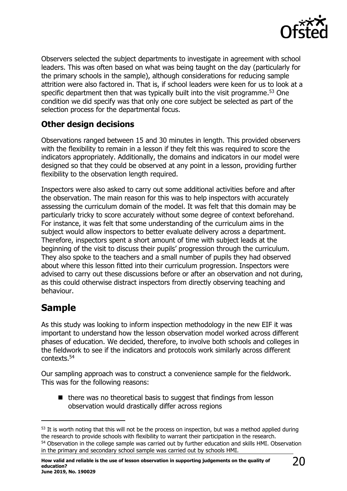

Observers selected the subject departments to investigate in agreement with school leaders. This was often based on what was being taught on the day (particularly for the primary schools in the sample), although considerations for reducing sample attrition were also factored in. That is, if school leaders were keen for us to look at a specific department then that was typically built into the visit programme. <sup>53</sup> One condition we did specify was that only one core subject be selected as part of the selection process for the departmental focus.

### <span id="page-19-0"></span>**Other design decisions**

Observations ranged between 15 and 30 minutes in length. This provided observers with the flexibility to remain in a lesson if they felt this was required to score the indicators appropriately. Additionally, the domains and indicators in our model were designed so that they could be observed at any point in a lesson, providing further flexibility to the observation length required.

Inspectors were also asked to carry out some additional activities before and after the observation. The main reason for this was to help inspectors with accurately assessing the curriculum domain of the model. It was felt that this domain may be particularly tricky to score accurately without some degree of context beforehand. For instance, it was felt that some understanding of the curriculum aims in the subject would allow inspectors to better evaluate delivery across a department. Therefore, inspectors spent a short amount of time with subject leads at the beginning of the visit to discuss their pupils' progression through the curriculum. They also spoke to the teachers and a small number of pupils they had observed about where this lesson fitted into their curriculum progression. Inspectors were advised to carry out these discussions before or after an observation and not during, as this could otherwise distract inspectors from directly observing teaching and behaviour.

# <span id="page-19-1"></span>**Sample**

 $\overline{a}$ 

As this study was looking to inform inspection methodology in the new EIF it was important to understand how the lesson observation model worked across different phases of education. We decided, therefore, to involve both schools and colleges in the fieldwork to see if the indicators and protocols work similarly across different contexts. 54

Our sampling approach was to construct a convenience sample for the fieldwork. This was for the following reasons:

■ there was no theoretical basis to suggest that findings from lesson observation would drastically differ across regions

<sup>&</sup>lt;sup>53</sup> It is worth noting that this will not be the process on inspection, but was a method applied during the research to provide schools with flexibility to warrant their participation in the research.

<sup>&</sup>lt;sup>54</sup> Observation in the college sample was carried out by further education and skills HMI. Observation in the primary and secondary school sample was carried out by schools HMI.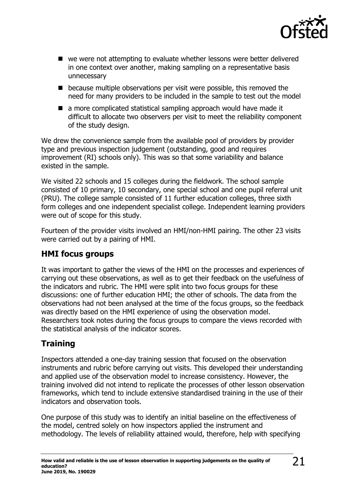

- we were not attempting to evaluate whether lessons were better delivered in one context over another, making sampling on a representative basis unnecessary
- because multiple observations per visit were possible, this removed the need for many providers to be included in the sample to test out the model
- a more complicated statistical sampling approach would have made it difficult to allocate two observers per visit to meet the reliability component of the study design.

We drew the convenience sample from the available pool of providers by provider type and previous inspection judgement (outstanding, good and requires improvement (RI) schools only). This was so that some variability and balance existed in the sample.

We visited 22 schools and 15 colleges during the fieldwork. The school sample consisted of 10 primary, 10 secondary, one special school and one pupil referral unit (PRU). The college sample consisted of 11 further education colleges, three sixth form colleges and one independent specialist college. Independent learning providers were out of scope for this study.

Fourteen of the provider visits involved an HMI/non-HMI pairing. The other 23 visits were carried out by a pairing of HMI.

# <span id="page-20-0"></span>**HMI focus groups**

It was important to gather the views of the HMI on the processes and experiences of carrying out these observations, as well as to get their feedback on the usefulness of the indicators and rubric. The HMI were split into two focus groups for these discussions: one of further education HMI; the other of schools. The data from the observations had not been analysed at the time of the focus groups, so the feedback was directly based on the HMI experience of using the observation model. Researchers took notes during the focus groups to compare the views recorded with the statistical analysis of the indicator scores.

# <span id="page-20-1"></span>**Training**

Inspectors attended a one-day training session that focused on the observation instruments and rubric before carrying out visits. This developed their understanding and applied use of the observation model to increase consistency. However, the training involved did not intend to replicate the processes of other lesson observation frameworks, which tend to include extensive standardised training in the use of their indicators and observation tools.

One purpose of this study was to identify an initial baseline on the effectiveness of the model, centred solely on how inspectors applied the instrument and methodology. The levels of reliability attained would, therefore, help with specifying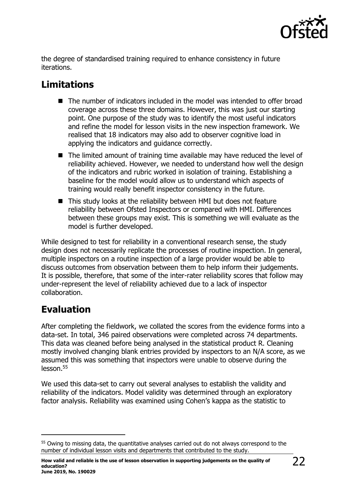

the degree of standardised training required to enhance consistency in future iterations.

# <span id="page-21-0"></span>**Limitations**

- The number of indicators included in the model was intended to offer broad coverage across these three domains. However, this was just our starting point. One purpose of the study was to identify the most useful indicators and refine the model for lesson visits in the new inspection framework. We realised that 18 indicators may also add to observer cognitive load in applying the indicators and guidance correctly.
- The limited amount of training time available may have reduced the level of reliability achieved. However, we needed to understand how well the design of the indicators and rubric worked in isolation of training. Establishing a baseline for the model would allow us to understand which aspects of training would really benefit inspector consistency in the future.
- This study looks at the reliability between HMI but does not feature reliability between Ofsted Inspectors or compared with HMI. Differences between these groups may exist. This is something we will evaluate as the model is further developed.

While designed to test for reliability in a conventional research sense, the study design does not necessarily replicate the processes of routine inspection. In general, multiple inspectors on a routine inspection of a large provider would be able to discuss outcomes from observation between them to help inform their judgements. It is possible, therefore, that some of the inter-rater reliability scores that follow may under-represent the level of reliability achieved due to a lack of inspector collaboration.

# <span id="page-21-1"></span>**Evaluation**

j

After completing the fieldwork, we collated the scores from the evidence forms into a data-set. In total, 346 paired observations were completed across 74 departments. This data was cleaned before being analysed in the statistical product R. Cleaning mostly involved changing blank entries provided by inspectors to an N/A score, as we assumed this was something that inspectors were unable to observe during the lesson.<sup>55</sup>

We used this data-set to carry out several analyses to establish the validity and reliability of the indicators. Model validity was determined through an exploratory factor analysis. Reliability was examined using Cohen's kappa as the statistic to

<sup>&</sup>lt;sup>55</sup> Owing to missing data, the quantitative analyses carried out do not always correspond to the number of individual lesson visits and departments that contributed to the study.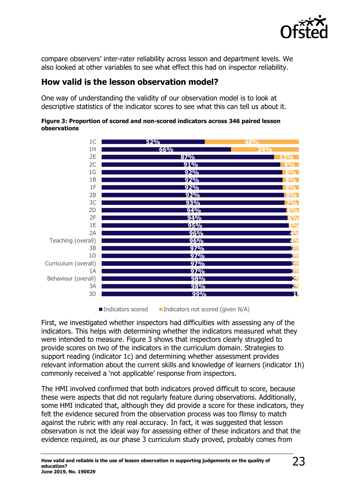

compare observers' inter-rater reliability across lesson and department levels. We also looked at other variables to see what effect this had on inspector reliability.

### <span id="page-22-0"></span>**How valid is the lesson observation model?**

One way of understanding the validity of our observation model is to look at descriptive statistics of the indicator scores to see what this can tell us about it.



#### **Figure 3: Proportion of scored and non-scored indicators across 346 paired lesson observations**

Indicators scored Indicators not scored (given  $N/A$ )

First, we investigated whether inspectors had difficulties with assessing any of the indicators. This helps with determining whether the indicators measured what they were intended to measure. Figure 3 shows that inspectors clearly struggled to provide scores on two of the indicators in the curriculum domain. Strategies to support reading (indicator 1c) and determining whether assessment provides relevant information about the current skills and knowledge of learners (indicator 1h) commonly received a 'not applicable' response from inspectors.

The HMI involved confirmed that both indicators proved difficult to score, because these were aspects that did not regularly feature during observations. Additionally, some HMI indicated that, although they did provide a score for these indicators, they felt the evidence secured from the observation process was too flimsy to match against the rubric with any real accuracy. In fact, it was suggested that lesson observation is not the ideal way for assessing either of these indicators and that the evidence required, as our phase 3 curriculum study proved, probably comes from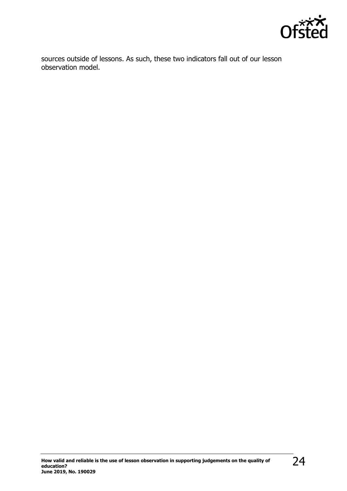

sources outside of lessons. As such, these two indicators fall out of our lesson observation model.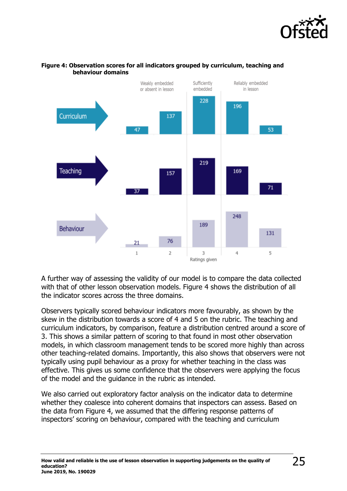



#### **Figure 4: Observation scores for all indicators grouped by curriculum, teaching and behaviour domains**

A further way of assessing the validity of our model is to compare the data collected with that of other lesson observation models. Figure 4 shows the distribution of all the indicator scores across the three domains.

Observers typically scored behaviour indicators more favourably, as shown by the skew in the distribution towards a score of 4 and 5 on the rubric. The teaching and curriculum indicators, by comparison, feature a distribution centred around a score of 3. This shows a similar pattern of scoring to that found in most other observation models, in which classroom management tends to be scored more highly than across other teaching-related domains. Importantly, this also shows that observers were not typically using pupil behaviour as a proxy for whether teaching in the class was effective. This gives us some confidence that the observers were applying the focus of the model and the guidance in the rubric as intended.

We also carried out exploratory factor analysis on the indicator data to determine whether they coalesce into coherent domains that inspectors can assess. Based on the data from Figure 4, we assumed that the differing response patterns of inspectors' scoring on behaviour, compared with the teaching and curriculum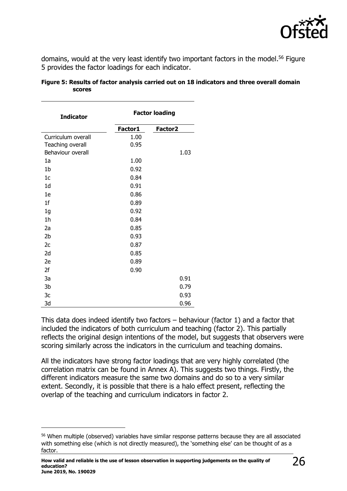

domains, would at the very least identify two important factors in the model. <sup>56</sup> Figure 5 provides the factor loadings for each indicator.

| <b>Indicator</b>   | <b>Factor loading</b> |                     |  |
|--------------------|-----------------------|---------------------|--|
|                    | Factor1               | Factor <sub>2</sub> |  |
| Curriculum overall | 1.00                  |                     |  |
| Teaching overall   | 0.95                  |                     |  |
| Behaviour overall  |                       | 1.03                |  |
| 1a                 | 1.00                  |                     |  |
| 1 <sub>b</sub>     | 0.92                  |                     |  |
| 1 <sub>c</sub>     | 0.84                  |                     |  |
| 1 <sub>d</sub>     | 0.91                  |                     |  |
| 1e                 | 0.86                  |                     |  |
| 1 <sub>f</sub>     | 0.89                  |                     |  |
| 1 <sub>g</sub>     | 0.92                  |                     |  |
| 1 <sub>h</sub>     | 0.84                  |                     |  |
| 2a                 | 0.85                  |                     |  |
| 2 <sub>b</sub>     | 0.93                  |                     |  |
| 2c                 | 0.87                  |                     |  |
| 2d                 | 0.85                  |                     |  |
| 2e                 | 0.89                  |                     |  |
| 2f                 | 0.90                  |                     |  |
| 3a                 |                       | 0.91                |  |
| 3b                 |                       | 0.79                |  |
| 3c                 |                       | 0.93                |  |
| 3d                 |                       | 0.96                |  |

**Figure 5: Results of factor analysis carried out on 18 indicators and three overall domain scores**

This data does indeed identify two factors – behaviour (factor 1) and a factor that included the indicators of both curriculum and teaching (factor 2). This partially reflects the original design intentions of the model, but suggests that observers were scoring similarly across the indicators in the curriculum and teaching domains.

All the indicators have strong factor loadings that are very highly correlated (the correlation matrix can be found in Annex A). This suggests two things. Firstly, the different indicators measure the same two domains and do so to a very similar extent. Secondly, it is possible that there is a halo effect present, reflecting the overlap of the teaching and curriculum indicators in factor 2.

j

<sup>&</sup>lt;sup>56</sup> When multiple (observed) variables have similar response patterns because they are all associated with something else (which is not directly measured), the 'something else' can be thought of as a factor.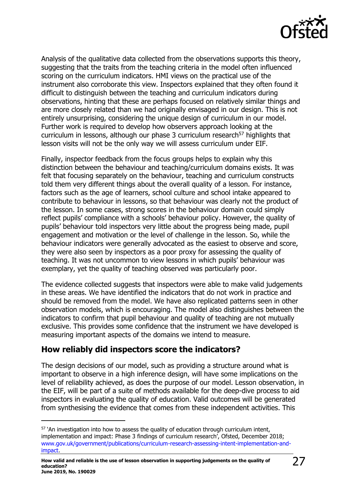

Analysis of the qualitative data collected from the observations supports this theory, suggesting that the traits from the teaching criteria in the model often influenced scoring on the curriculum indicators. HMI views on the practical use of the instrument also corroborate this view. Inspectors explained that they often found it difficult to distinguish between the teaching and curriculum indicators during observations, hinting that these are perhaps focused on relatively similar things and are more closely related than we had originally envisaged in our design. This is not entirely unsurprising, considering the unique design of curriculum in our model. Further work is required to develop how observers approach looking at the curriculum in lessons, although our phase 3 curriculum research<sup>57</sup> highlights that lesson visits will not be the only way we will assess curriculum under EIF.

Finally, inspector feedback from the focus groups helps to explain why this distinction between the behaviour and teaching/curriculum domains exists. It was felt that focusing separately on the behaviour, teaching and curriculum constructs told them very different things about the overall quality of a lesson. For instance, factors such as the age of learners, school culture and school intake appeared to contribute to behaviour in lessons, so that behaviour was clearly not the product of the lesson. In some cases, strong scores in the behaviour domain could simply reflect pupils' compliance with a schools' behaviour policy. However, the quality of pupils' behaviour told inspectors very little about the progress being made, pupil engagement and motivation or the level of challenge in the lesson. So, while the behaviour indicators were generally advocated as the easiest to observe and score, they were also seen by inspectors as a poor proxy for assessing the quality of teaching. It was not uncommon to view lessons in which pupils' behaviour was exemplary, yet the quality of teaching observed was particularly poor.

The evidence collected suggests that inspectors were able to make valid judgements in these areas. We have identified the indicators that do not work in practice and should be removed from the model. We have also replicated patterns seen in other observation models, which is encouraging. The model also distinguishes between the indicators to confirm that pupil behaviour and quality of teaching are not mutually exclusive. This provides some confidence that the instrument we have developed is measuring important aspects of the domains we intend to measure.

### <span id="page-26-0"></span>**How reliably did inspectors score the indicators?**

 $\overline{a}$ 

The design decisions of our model, such as providing a structure around what is important to observe in a high inference design, will have some implications on the level of reliability achieved, as does the purpose of our model. Lesson observation, in the EIF, will be part of a suite of methods available for the deep-dive process to aid inspectors in evaluating the quality of education. Valid outcomes will be generated from synthesising the evidence that comes from these independent activities. This

<sup>&</sup>lt;sup>57</sup> 'An investigation into how to assess the quality of education through curriculum intent, implementation and impact: Phase 3 findings of curriculum research', Ofsted, December 2018; [www.gov.uk/government/publications/curriculum-research-assessing-intent-implementation-and](http://www.gov.uk/government/publications/curriculum-research-assessing-intent-implementation-and-impact)[impact.](http://www.gov.uk/government/publications/curriculum-research-assessing-intent-implementation-and-impact)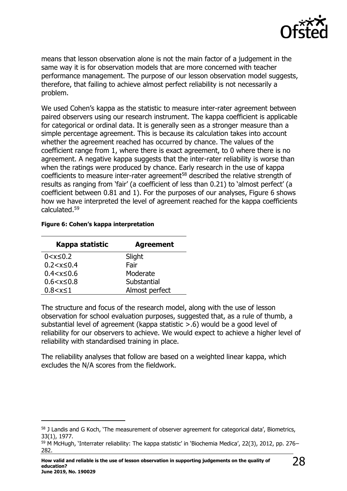

means that lesson observation alone is not the main factor of a judgement in the same way it is for observation models that are more concerned with teacher performance management. The purpose of our lesson observation model suggests, therefore, that failing to achieve almost perfect reliability is not necessarily a problem.

We used Cohen's kappa as the statistic to measure inter-rater agreement between paired observers using our research instrument. The kappa coefficient is applicable for categorical or ordinal data. It is generally seen as a stronger measure than a simple percentage agreement. This is because its calculation takes into account whether the agreement reached has occurred by chance. The values of the coefficient range from 1, where there is exact agreement, to 0 where there is no agreement. A negative kappa suggests that the inter-rater reliability is worse than when the ratings were produced by chance. Early research in the use of kappa coefficients to measure inter-rater agreement<sup>58</sup> described the relative strength of results as ranging from 'fair' (a coefficient of less than 0.21) to 'almost perfect' (a coefficient between 0.81 and 1). For the purposes of our analyses, Figure 6 shows how we have interpreted the level of agreement reached for the kappa coefficients calculated.<sup>59</sup>

#### **Figure 6: Cohen's kappa interpretation**

 $\overline{a}$ 

| Kappa statistic    | <b>Agreement</b> |
|--------------------|------------------|
| $0 < x \leq 0.2$   | Slight           |
| $0.2 < x \leq 0.4$ | Fair             |
| $0.4 < x \leq 0.6$ | Moderate         |
| $0.6 < x \leq 0.8$ | Substantial      |
| $0.8 < x \le 1$    | Almost perfect   |

The structure and focus of the research model, along with the use of lesson observation for school evaluation purposes, suggested that, as a rule of thumb, a substantial level of agreement (kappa statistic >.6) would be a good level of reliability for our observers to achieve. We would expect to achieve a higher level of reliability with standardised training in place.

The reliability analyses that follow are based on a weighted linear kappa, which excludes the N/A scores from the fieldwork.

<sup>58</sup> J Landis and G Koch, 'The measurement of observer agreement for categorical data', Biometrics, 33(1), 1977.

<sup>59</sup> M McHugh, 'Interrater reliability: The kappa statistic' in 'Biochemia Medica', 22(3), 2012, pp. 276– 282.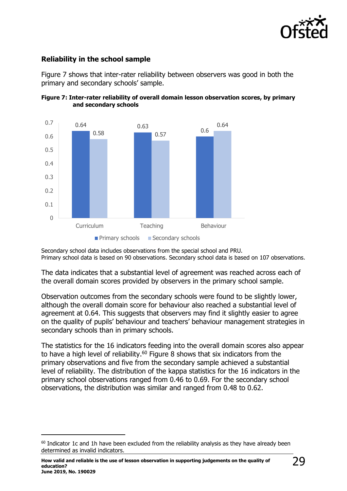

### **Reliability in the school sample**

Figure 7 shows that inter-rater reliability between observers was good in both the primary and secondary schools' sample.





Secondary school data includes observations from the special school and PRU. Primary school data is based on 90 observations. Secondary school data is based on 107 observations.

The data indicates that a substantial level of agreement was reached across each of the overall domain scores provided by observers in the primary school sample.

Observation outcomes from the secondary schools were found to be slightly lower, although the overall domain score for behaviour also reached a substantial level of agreement at 0.64. This suggests that observers may find it slightly easier to agree on the quality of pupils' behaviour and teachers' behaviour management strategies in secondary schools than in primary schools.

The statistics for the 16 indicators feeding into the overall domain scores also appear to have a high level of reliability.<sup>60</sup> Figure 8 shows that six indicators from the primary observations and five from the secondary sample achieved a substantial level of reliability. The distribution of the kappa statistics for the 16 indicators in the primary school observations ranged from 0.46 to 0.69. For the secondary school observations, the distribution was similar and ranged from 0.48 to 0.62.

j

 $60$  Indicator 1c and 1h have been excluded from the reliability analysis as they have already been determined as invalid indicators.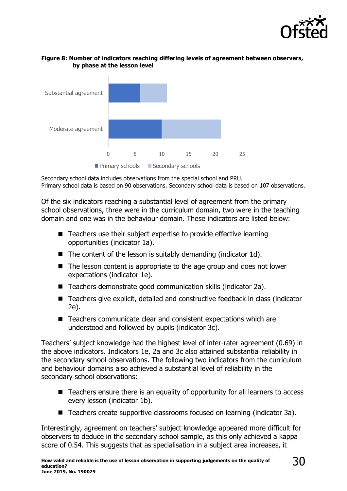



#### **Figure 8: Number of indicators reaching differing levels of agreement between observers, by phase at the lesson level**

Secondary school data includes observations from the special school and PRU. Primary school data is based on 90 observations. Secondary school data is based on 107 observations.

Of the six indicators reaching a substantial level of agreement from the primary school observations, three were in the curriculum domain, two were in the teaching domain and one was in the behaviour domain. These indicators are listed below:

- Teachers use their subject expertise to provide effective learning opportunities (indicator 1a).
- $\blacksquare$  The content of the lesson is suitably demanding (indicator 1d).
- The lesson content is appropriate to the age group and does not lower expectations (indicator 1e).
- Teachers demonstrate good communication skills (indicator 2a).
- Teachers give explicit, detailed and constructive feedback in class (indicator 2e).
- Teachers communicate clear and consistent expectations which are understood and followed by pupils (indicator 3c).

Teachers' subject knowledge had the highest level of inter-rater agreement (0.69) in the above indicators. Indicators 1e, 2a and 3c also attained substantial reliability in the secondary school observations. The following two indicators from the curriculum and behaviour domains also achieved a substantial level of reliability in the secondary school observations:

- Teachers ensure there is an equality of opportunity for all learners to access every lesson (indicator 1b).
- Teachers create supportive classrooms focused on learning (indicator 3a).

Interestingly, agreement on teachers' subject knowledge appeared more difficult for observers to deduce in the secondary school sample, as this only achieved a kappa score of 0.54. This suggests that as specialisation in a subject area increases, it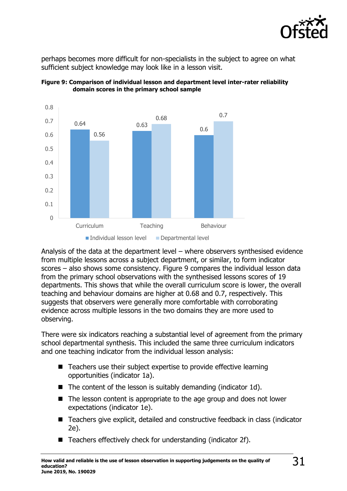

perhaps becomes more difficult for non-specialists in the subject to agree on what sufficient subject knowledge may look like in a lesson visit.





Analysis of the data at the department level – where observers synthesised evidence from multiple lessons across a subject department, or similar, to form indicator scores – also shows some consistency. Figure 9 compares the individual lesson data from the primary school observations with the synthesised lessons scores of 19 departments. This shows that while the overall curriculum score is lower, the overall teaching and behaviour domains are higher at 0.68 and 0.7, respectively. This suggests that observers were generally more comfortable with corroborating evidence across multiple lessons in the two domains they are more used to observing.

There were six indicators reaching a substantial level of agreement from the primary school departmental synthesis. This included the same three curriculum indicators and one teaching indicator from the individual lesson analysis:

- Teachers use their subject expertise to provide effective learning opportunities (indicator 1a).
- The content of the lesson is suitably demanding (indicator 1d).
- The lesson content is appropriate to the age group and does not lower expectations (indicator 1e).
- Teachers give explicit, detailed and constructive feedback in class (indicator 2e).
- Teachers effectively check for understanding (indicator 2f).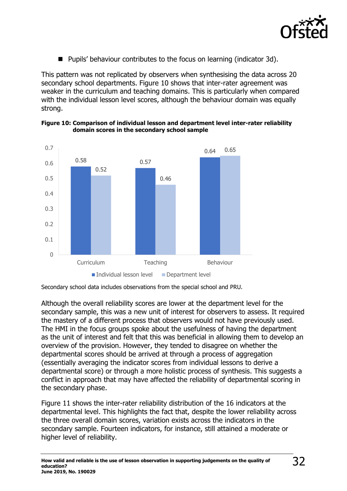

■ Pupils' behaviour contributes to the focus on learning (indicator 3d).

This pattern was not replicated by observers when synthesising the data across 20 secondary school departments. Figure 10 shows that inter-rater agreement was weaker in the curriculum and teaching domains. This is particularly when compared with the individual lesson level scores, although the behaviour domain was equally strong.



**Figure 10: Comparison of individual lesson and department level inter-rater reliability domain scores in the secondary school sample**

Secondary school data includes observations from the special school and PRU.

Although the overall reliability scores are lower at the department level for the secondary sample, this was a new unit of interest for observers to assess. It required the mastery of a different process that observers would not have previously used. The HMI in the focus groups spoke about the usefulness of having the department as the unit of interest and felt that this was beneficial in allowing them to develop an overview of the provision. However, they tended to disagree on whether the departmental scores should be arrived at through a process of aggregation (essentially averaging the indicator scores from individual lessons to derive a departmental score) or through a more holistic process of synthesis. This suggests a conflict in approach that may have affected the reliability of departmental scoring in the secondary phase.

Figure 11 shows the inter-rater reliability distribution of the 16 indicators at the departmental level. This highlights the fact that, despite the lower reliability across the three overall domain scores, variation exists across the indicators in the secondary sample. Fourteen indicators, for instance, still attained a moderate or higher level of reliability.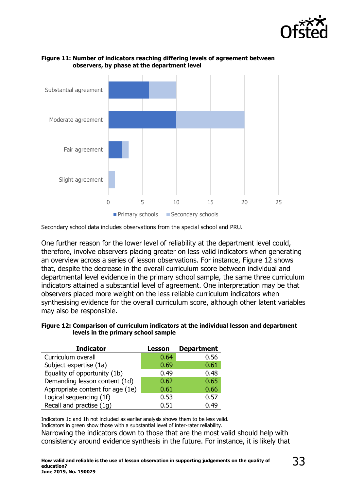



#### **Figure 11: Number of indicators reaching differing levels of agreement between observers, by phase at the department level**

Secondary school data includes observations from the special school and PRU.

One further reason for the lower level of reliability at the department level could, therefore, involve observers placing greater on less valid indicators when generating an overview across a series of lesson observations. For instance, Figure 12 shows that, despite the decrease in the overall curriculum score between individual and departmental level evidence in the primary school sample, the same three curriculum indicators attained a substantial level of agreement. One interpretation may be that observers placed more weight on the less reliable curriculum indicators when synthesising evidence for the overall curriculum score, although other latent variables may also be responsible.

**Figure 12: Comparison of curriculum indicators at the individual lesson and department levels in the primary school sample**

| <b>Indicator</b>                 | <b>Lesson</b> | <b>Department</b> |
|----------------------------------|---------------|-------------------|
| Curriculum overall               | 0.64          | 0.56              |
| Subject expertise (1a)           | 0.69          | 0.61              |
| Equality of opportunity (1b)     | 0.49          | 0.48              |
| Demanding lesson content (1d)    | 0.62          | 0.65              |
| Appropriate content for age (1e) | 0.61          | 0.66              |
| Logical sequencing (1f)          | 0.53          | 0.57              |
| Recall and practise (1g)         | 0.51          | 0.49              |

Indicators 1c and 1h not included as earlier analysis shows them to be less valid. Indicators in green show those with a substantial level of inter-rater reliability.

Narrowing the indicators down to those that are the most valid should help with consistency around evidence synthesis in the future. For instance, it is likely that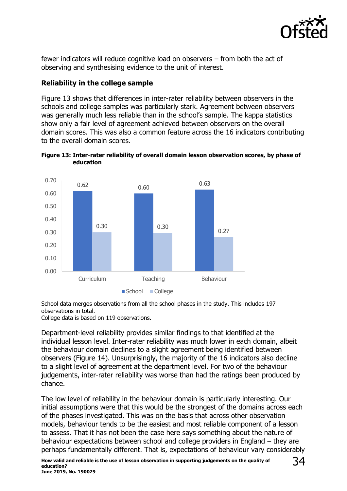

fewer indicators will reduce cognitive load on observers – from both the act of observing and synthesising evidence to the unit of interest.

### **Reliability in the college sample**

Figure 13 shows that differences in inter-rater reliability between observers in the schools and college samples was particularly stark. Agreement between observers was generally much less reliable than in the school's sample. The kappa statistics show only a fair level of agreement achieved between observers on the overall domain scores. This was also a common feature across the 16 indicators contributing to the overall domain scores.





School data merges observations from all the school phases in the study. This includes 197 observations in total.

College data is based on 119 observations.

Department-level reliability provides similar findings to that identified at the individual lesson level. Inter-rater reliability was much lower in each domain, albeit the behaviour domain declines to a slight agreement being identified between observers (Figure 14). Unsurprisingly, the majority of the 16 indicators also decline to a slight level of agreement at the department level. For two of the behaviour judgements, inter-rater reliability was worse than had the ratings been produced by chance.

The low level of reliability in the behaviour domain is particularly interesting. Our initial assumptions were that this would be the strongest of the domains across each of the phases investigated. This was on the basis that across other observation models, behaviour tends to be the easiest and most reliable component of a lesson to assess. That it has not been the case here says something about the nature of behaviour expectations between school and college providers in England – they are perhaps fundamentally different. That is, expectations of behaviour vary considerably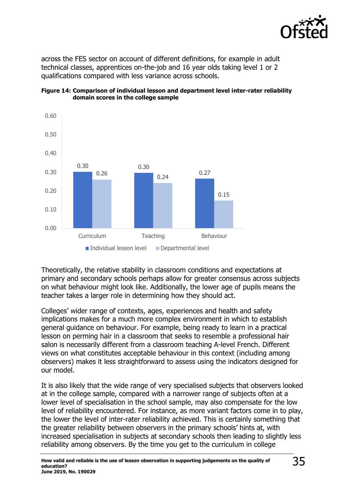

across the FES sector on account of different definitions, for example in adult technical classes, apprentices on-the-job and 16 year olds taking level 1 or 2 qualifications compared with less variance across schools.



#### **Figure 14: Comparison of individual lesson and department level inter-rater reliability domain scores in the college sample**

Theoretically, the relative stability in classroom conditions and expectations at primary and secondary schools perhaps allow for greater consensus across subjects on what behaviour might look like. Additionally, the lower age of pupils means the teacher takes a larger role in determining how they should act.

Colleges' wider range of contexts, ages, experiences and health and safety implications makes for a much more complex environment in which to establish general guidance on behaviour. For example, being ready to learn in a practical lesson on perming hair in a classroom that seeks to resemble a professional hair salon is necessarily different from a classroom teaching A-level French. Different views on what constitutes acceptable behaviour in this context (including among observers) makes it less straightforward to assess using the indicators designed for our model.

It is also likely that the wide range of very specialised subjects that observers looked at in the college sample, compared with a narrower range of subjects often at a lower level of specialisation in the school sample, may also compensate for the low level of reliability encountered. For instance, as more variant factors come in to play, the lower the level of inter-rater reliability achieved. This is certainly something that the greater reliability between observers in the primary schools' hints at, with increased specialisation in subjects at secondary schools then leading to slightly less reliability among observers. By the time you get to the curriculum in college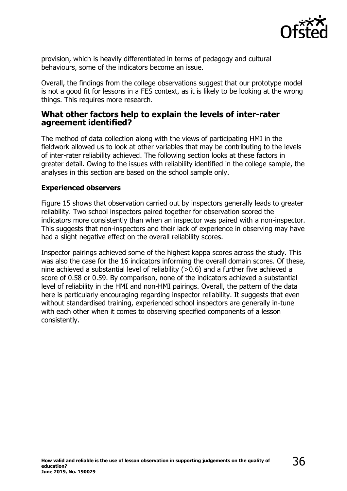

provision, which is heavily differentiated in terms of pedagogy and cultural behaviours, some of the indicators become an issue.

Overall, the findings from the college observations suggest that our prototype model is not a good fit for lessons in a FES context, as it is likely to be looking at the wrong things. This requires more research.

### <span id="page-35-0"></span>**What other factors help to explain the levels of inter-rater agreement identified?**

The method of data collection along with the views of participating HMI in the fieldwork allowed us to look at other variables that may be contributing to the levels of inter-rater reliability achieved. The following section looks at these factors in greater detail. Owing to the issues with reliability identified in the college sample, the analyses in this section are based on the school sample only.

### **Experienced observers**

Figure 15 shows that observation carried out by inspectors generally leads to greater reliability. Two school inspectors paired together for observation scored the indicators more consistently than when an inspector was paired with a non-inspector. This suggests that non-inspectors and their lack of experience in observing may have had a slight negative effect on the overall reliability scores.

Inspector pairings achieved some of the highest kappa scores across the study. This was also the case for the 16 indicators informing the overall domain scores. Of these, nine achieved a substantial level of reliability (>0.6) and a further five achieved a score of 0.58 or 0.59. By comparison, none of the indicators achieved a substantial level of reliability in the HMI and non-HMI pairings. Overall, the pattern of the data here is particularly encouraging regarding inspector reliability. It suggests that even without standardised training, experienced school inspectors are generally in-tune with each other when it comes to observing specified components of a lesson consistently.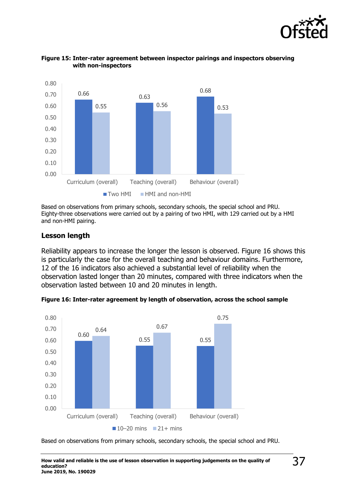



#### **Figure 15: Inter-rater agreement between inspector pairings and inspectors observing with non-inspectors**

Based on observations from primary schools, secondary schools, the special school and PRU. Eighty-three observations were carried out by a pairing of two HMI, with 129 carried out by a HMI and non-HMI pairing.

#### **Lesson length**

Reliability appears to increase the longer the lesson is observed. Figure 16 shows this is particularly the case for the overall teaching and behaviour domains. Furthermore, 12 of the 16 indicators also achieved a substantial level of reliability when the observation lasted longer than 20 minutes, compared with three indicators when the observation lasted between 10 and 20 minutes in length.



**Figure 16: Inter-rater agreement by length of observation, across the school sample**

Based on observations from primary schools, secondary schools, the special school and PRU.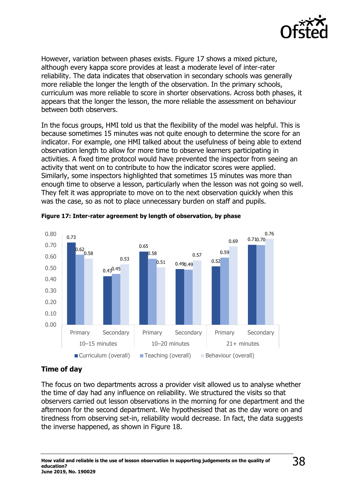

However, variation between phases exists. Figure 17 shows a mixed picture, although every kappa score provides at least a moderate level of inter-rater reliability. The data indicates that observation in secondary schools was generally more reliable the longer the length of the observation. In the primary schools, curriculum was more reliable to score in shorter observations. Across both phases, it appears that the longer the lesson, the more reliable the assessment on behaviour between both observers.

In the focus groups, HMI told us that the flexibility of the model was helpful. This is because sometimes 15 minutes was not quite enough to determine the score for an indicator. For example, one HMI talked about the usefulness of being able to extend observation length to allow for more time to observe learners participating in activities. A fixed time protocol would have prevented the inspector from seeing an activity that went on to contribute to how the indicator scores were applied. Similarly, some inspectors highlighted that sometimes 15 minutes was more than enough time to observe a lesson, particularly when the lesson was not going so well. They felt it was appropriate to move on to the next observation quickly when this was the case, so as not to place unnecessary burden on staff and pupils.



#### **Figure 17: Inter-rater agreement by length of observation, by phase**

### **Time of day**

The focus on two departments across a provider visit allowed us to analyse whether the time of day had any influence on reliability. We structured the visits so that observers carried out lesson observations in the morning for one department and the afternoon for the second department. We hypothesised that as the day wore on and tiredness from observing set-in, reliability would decrease. In fact, the data suggests the inverse happened, as shown in Figure 18.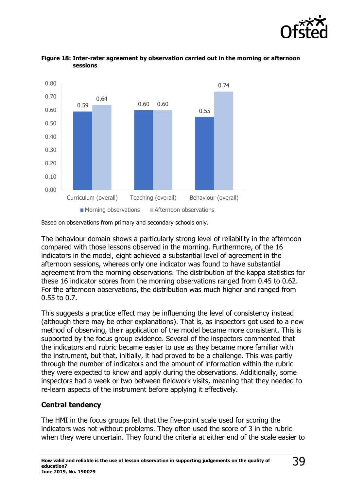





The behaviour domain shows a particularly strong level of reliability in the afternoon compared with those lessons observed in the morning. Furthermore, of the 16 indicators in the model, eight achieved a substantial level of agreement in the afternoon sessions, whereas only one indicator was found to have substantial agreement from the morning observations. The distribution of the kappa statistics for these 16 indicator scores from the morning observations ranged from 0.45 to 0.62. For the afternoon observations, the distribution was much higher and ranged from 0.55 to 0.7.

This suggests a practice effect may be influencing the level of consistency instead (although there may be other explanations). That is, as inspectors got used to a new method of observing, their application of the model became more consistent. This is supported by the focus group evidence. Several of the inspectors commented that the indicators and rubric became easier to use as they became more familiar with the instrument, but that, initially, it had proved to be a challenge. This was partly through the number of indicators and the amount of information within the rubric they were expected to know and apply during the observations. Additionally, some inspectors had a week or two between fieldwork visits, meaning that they needed to re-learn aspects of the instrument before applying it effectively.

### **Central tendency**

The HMI in the focus groups felt that the five-point scale used for scoring the indicators was not without problems. They often used the score of 3 in the rubric when they were uncertain. They found the criteria at either end of the scale easier to

Based on observations from primary and secondary schools only.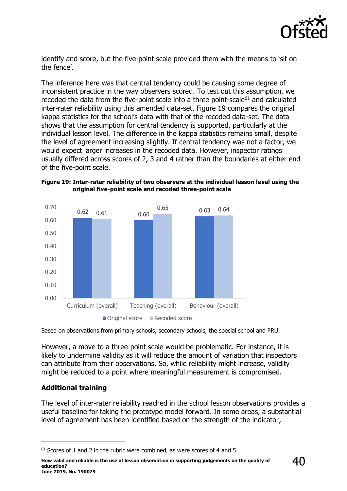

identify and score, but the five-point scale provided them with the means to 'sit on the fence'.

The inference here was that central tendency could be causing some degree of inconsistent practice in the way observers scored. To test out this assumption, we recoded the data from the five-point scale into a three point-scale $61$  and calculated inter-rater reliability using this amended data-set. Figure 19 compares the original kappa statistics for the school's data with that of the recoded data-set. The data shows that the assumption for central tendency is supported, particularly at the individual lesson level. The difference in the kappa statistics remains small, despite the level of agreement increasing slightly. If central tendency was not a factor, we would expect larger increases in the recoded data. However, inspector ratings usually differed across scores of 2, 3 and 4 rather than the boundaries at either end of the five-point scale.





Based on observations from primary schools, secondary schools, the special school and PRU.

However, a move to a three-point scale would be problematic. For instance, it is likely to undermine validity as it will reduce the amount of variation that inspectors can attribute from their observations. So, while reliability might increase, validity might be reduced to a point where meaningful measurement is compromised.

### **Additional training**

j

The level of inter-rater reliability reached in the school lesson observations provides a useful baseline for taking the prototype model forward. In some areas, a substantial level of agreement has been identified based on the strength of the indicator,

**How valid and reliable is the use of lesson observation in supporting judgements on the quality of education? June 2019, No. 190029**

 $61$  Scores of 1 and 2 in the rubric were combined, as were scores of 4 and 5.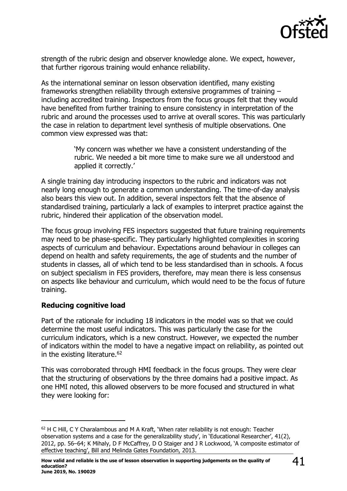

strength of the rubric design and observer knowledge alone. We expect, however, that further rigorous training would enhance reliability.

As the international seminar on lesson observation identified, many existing frameworks strengthen reliability through extensive programmes of training – including accredited training. Inspectors from the focus groups felt that they would have benefited from further training to ensure consistency in interpretation of the rubric and around the processes used to arrive at overall scores. This was particularly the case in relation to department level synthesis of multiple observations. One common view expressed was that:

> 'My concern was whether we have a consistent understanding of the rubric. We needed a bit more time to make sure we all understood and applied it correctly.'

A single training day introducing inspectors to the rubric and indicators was not nearly long enough to generate a common understanding. The time-of-day analysis also bears this view out. In addition, several inspectors felt that the absence of standardised training, particularly a lack of examples to interpret practice against the rubric, hindered their application of the observation model.

The focus group involving FES inspectors suggested that future training requirements may need to be phase-specific. They particularly highlighted complexities in scoring aspects of curriculum and behaviour. Expectations around behaviour in colleges can depend on health and safety requirements, the age of students and the number of students in classes, all of which tend to be less standardised than in schools. A focus on subject specialism in FES providers, therefore, may mean there is less consensus on aspects like behaviour and curriculum, which would need to be the focus of future training.

### **Reducing cognitive load**

 $\overline{a}$ 

Part of the rationale for including 18 indicators in the model was so that we could determine the most useful indicators. This was particularly the case for the curriculum indicators, which is a new construct. However, we expected the number of indicators within the model to have a negative impact on reliability, as pointed out in the existing literature.<sup>62</sup>

This was corroborated through HMI feedback in the focus groups. They were clear that the structuring of observations by the three domains had a positive impact. As one HMI noted, this allowed observers to be more focused and structured in what they were looking for:

<sup>&</sup>lt;sup>62</sup> H C Hill, C Y Charalambous and M A Kraft, 'When rater reliability is not enough: Teacher observation systems and a case for the generalizability study', in 'Educational Researcher', 41(2), 2012, pp. 56–64; K Mihaly, D F McCaffrey, D O Staiger and J R Lockwood, 'A composite estimator of effective teaching', Bill and Melinda Gates Foundation, 2013.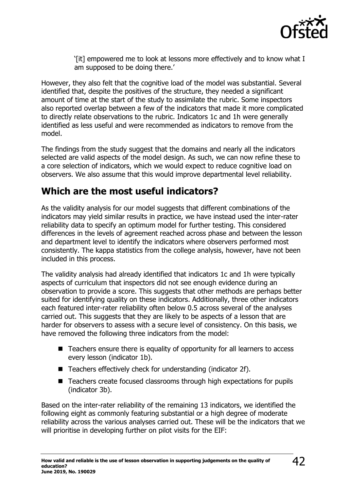

'[it] empowered me to look at lessons more effectively and to know what I am supposed to be doing there.'

However, they also felt that the cognitive load of the model was substantial. Several identified that, despite the positives of the structure, they needed a significant amount of time at the start of the study to assimilate the rubric. Some inspectors also reported overlap between a few of the indicators that made it more complicated to directly relate observations to the rubric. Indicators 1c and 1h were generally identified as less useful and were recommended as indicators to remove from the model.

The findings from the study suggest that the domains and nearly all the indicators selected are valid aspects of the model design. As such, we can now refine these to a core selection of indicators, which we would expect to reduce cognitive load on observers. We also assume that this would improve departmental level reliability.

# <span id="page-41-0"></span>**Which are the most useful indicators?**

As the validity analysis for our model suggests that different combinations of the indicators may yield similar results in practice, we have instead used the inter-rater reliability data to specify an optimum model for further testing. This considered differences in the levels of agreement reached across phase and between the lesson and department level to identify the indicators where observers performed most consistently. The kappa statistics from the college analysis, however, have not been included in this process.

The validity analysis had already identified that indicators 1c and 1h were typically aspects of curriculum that inspectors did not see enough evidence during an observation to provide a score. This suggests that other methods are perhaps better suited for identifying quality on these indicators. Additionally, three other indicators each featured inter-rater reliability often below 0.5 across several of the analyses carried out. This suggests that they are likely to be aspects of a lesson that are harder for observers to assess with a secure level of consistency. On this basis, we have removed the following three indicators from the model:

- Teachers ensure there is equality of opportunity for all learners to access every lesson (indicator 1b).
- Teachers effectively check for understanding (indicator 2f).
- Teachers create focused classrooms through high expectations for pupils (indicator 3b).

Based on the inter-rater reliability of the remaining 13 indicators, we identified the following eight as commonly featuring substantial or a high degree of moderate reliability across the various analyses carried out. These will be the indicators that we will prioritise in developing further on pilot visits for the EIF: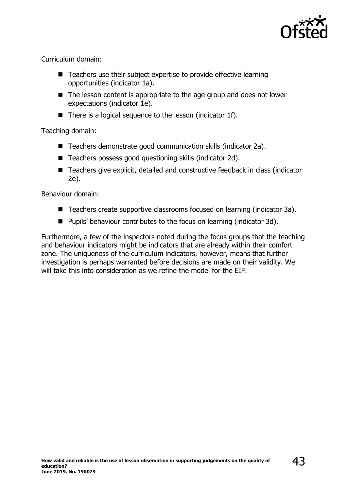

Curriculum domain:

- Teachers use their subject expertise to provide effective learning opportunities (indicator 1a).
- The lesson content is appropriate to the age group and does not lower expectations (indicator 1e).
- There is a logical sequence to the lesson (indicator 1f).

Teaching domain:

- Teachers demonstrate good communication skills (indicator 2a).
- Teachers possess good questioning skills (indicator 2d).
- Teachers give explicit, detailed and constructive feedback in class (indicator 2e).

Behaviour domain:

- Teachers create supportive classrooms focused on learning (indicator 3a).
- Pupils' behaviour contributes to the focus on learning (indicator 3d).

Furthermore, a few of the inspectors noted during the focus groups that the teaching and behaviour indicators might be indicators that are already within their comfort zone. The uniqueness of the curriculum indicators, however, means that further investigation is perhaps warranted before decisions are made on their validity. We will take this into consideration as we refine the model for the EIF.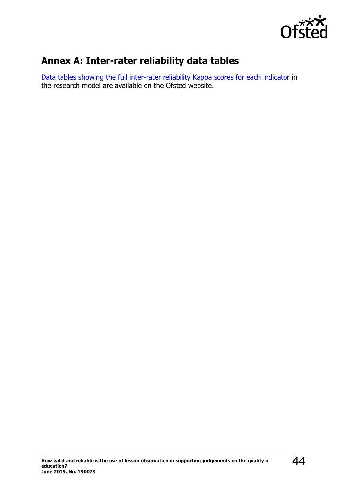

# <span id="page-43-0"></span>**Annex A: Inter-rater reliability data tables**

[Data tables showing the full inter-rater reliability Kappa scores for each indicator](https://wwwgov.uk/government/publications/inspecting-education-quality-lesson-observation-and-workbook-scrutiny) in the research model are available on the Ofsted website.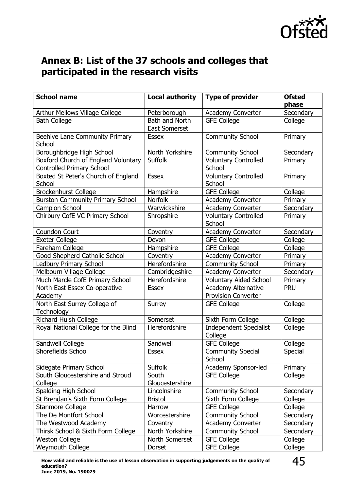

# <span id="page-44-0"></span>**Annex B: List of the 37 schools and colleges that participated in the research visits**

| <b>School name</b>                      | <b>Local authority</b> | <b>Type of provider</b>       | <b>Ofsted</b> |
|-----------------------------------------|------------------------|-------------------------------|---------------|
|                                         |                        |                               | phase         |
| Arthur Mellows Village College          | Peterborough           | Academy Converter             | Secondary     |
| <b>Bath College</b>                     | Bath and North         | <b>GFE College</b>            | College       |
|                                         | East Somerset          |                               |               |
| Beehive Lane Community Primary          | <b>Essex</b>           | <b>Community School</b>       | Primary       |
| School                                  |                        |                               |               |
| Boroughbridge High School               | North Yorkshire        | <b>Community School</b>       | Secondary     |
| Boxford Church of England Voluntary     | <b>Suffolk</b>         | <b>Voluntary Controlled</b>   | Primary       |
| <b>Controlled Primary School</b>        |                        | School                        |               |
| Boxted St Peter's Church of England     | <b>Essex</b>           | <b>Voluntary Controlled</b>   | Primary       |
| School                                  |                        | School                        |               |
| Brockenhurst College                    | Hampshire              | <b>GFE College</b>            | College       |
| <b>Burston Community Primary School</b> | Norfolk                | Academy Converter             | Primary       |
| Campion School                          | Warwickshire           | <b>Academy Converter</b>      | Secondary     |
| Chirbury CofE VC Primary School         | Shropshire             | <b>Voluntary Controlled</b>   | Primary       |
|                                         |                        | School                        |               |
| <b>Coundon Court</b>                    | Coventry               | Academy Converter             | Secondary     |
| <b>Exeter College</b>                   | Devon                  | <b>GFE College</b>            | College       |
| Fareham College                         | Hampshire              | <b>GFE College</b>            | College       |
| Good Shepherd Catholic School           | Coventry               | <b>Academy Converter</b>      | Primary       |
| <b>Ledbury Primary School</b>           | Herefordshire          | <b>Community School</b>       | Primary       |
| Melbourn Village College                | Cambridgeshire         | <b>Academy Converter</b>      | Secondary     |
| Much Marcle CofE Primary School         | Herefordshire          | <b>Voluntary Aided School</b> | Primary       |
| North East Essex Co-operative           | <b>Essex</b>           | <b>Academy Alternative</b>    | <b>PRU</b>    |
| Academy                                 |                        | <b>Provision Converter</b>    |               |
| North East Surrey College of            | Surrey                 | <b>GFE College</b>            | College       |
| Technology                              |                        |                               |               |
| Richard Huish College                   | Somerset               | Sixth Form College            | College       |
| Royal National College for the Blind    | Herefordshire          | <b>Independent Specialist</b> | College       |
|                                         |                        | College                       |               |
| Sandwell College                        | Sandwell               | <b>GFE College</b>            | College       |
| Shorefields School                      | <b>Essex</b>           | <b>Community Special</b>      | Special       |
|                                         |                        | School                        |               |
| Sidegate Primary School                 | Suffolk                | Academy Sponsor-led           | Primary       |
| South Gloucestershire and Stroud        | South                  | <b>GFE College</b>            | College       |
| College                                 | Gloucestershire        |                               |               |
| Spalding High School                    | Lincolnshire           | <b>Community School</b>       | Secondary     |
| St Brendan's Sixth Form College         | <b>Bristol</b>         | Sixth Form College            | College       |
| Stanmore College                        | Harrow                 | <b>GFE College</b>            | College       |
| The De Montfort School                  | Worcestershire         | <b>Community School</b>       | Secondary     |
| The Westwood Academy                    | Coventry               | <b>Academy Converter</b>      | Secondary     |
| Thirsk School & Sixth Form College      | North Yorkshire        | <b>Community School</b>       | Secondary     |
| <b>Weston College</b>                   | North Somerset         | <b>GFE College</b>            | College       |
| <b>Weymouth College</b>                 | Dorset                 | <b>GFE College</b>            | College       |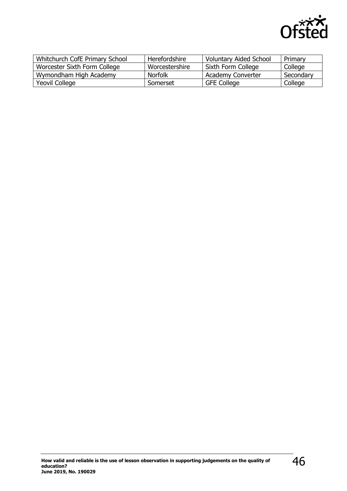

| Whitchurch CofE Primary School | Herefordshire  | <b>Voluntary Aided School</b> | Primary   |
|--------------------------------|----------------|-------------------------------|-----------|
| Worcester Sixth Form College   | Worcestershire | Sixth Form College            | College   |
| Wymondham High Academy         | <b>Norfolk</b> | <b>Academy Converter</b>      | Secondary |
| Yeovil College                 | Somerset       | <b>GFE College</b>            | College   |